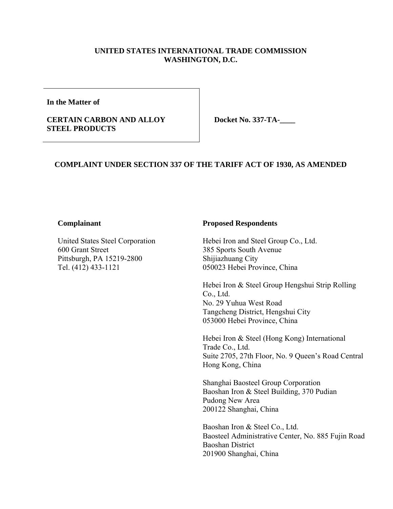## **UNITED STATES INTERNATIONAL TRADE COMMISSION WASHINGTON, D.C.**

**In the Matter of** 

### **CERTAIN CARBON AND ALLOY STEEL PRODUCTS**

**Docket No. 337-TA-\_\_\_\_** 

## **COMPLAINT UNDER SECTION 337 OF THE TARIFF ACT OF 1930, AS AMENDED**

#### **Complainant**

United States Steel Corporation 600 Grant Street Pittsburgh, PA 15219-2800 Tel. (412) 433-1121

#### **Proposed Respondents**

Hebei Iron and Steel Group Co., Ltd. 385 Sports South Avenue Shijiazhuang City 050023 Hebei Province, China

Hebei Iron & Steel Group Hengshui Strip Rolling Co., Ltd. No. 29 Yuhua West Road Tangcheng District, Hengshui City 053000 Hebei Province, China

Hebei Iron & Steel (Hong Kong) International Trade Co., Ltd. Suite 2705, 27th Floor, No. 9 Queen's Road Central Hong Kong, China

Shanghai Baosteel Group Corporation Baoshan Iron & Steel Building, 370 Pudian Pudong New Area 200122 Shanghai, China

Baoshan Iron & Steel Co., Ltd. Baosteel Administrative Center, No. 885 Fujin Road Baoshan District 201900 Shanghai, China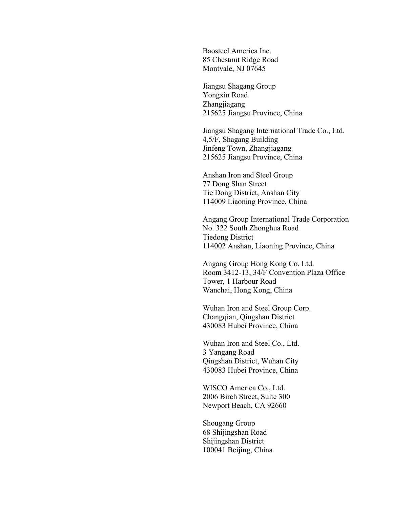Baosteel America Inc. 85 Chestnut Ridge Road Montvale, NJ 07645

Jiangsu Shagang Group Yongxin Road Zhangjiagang 215625 Jiangsu Province, China

Jiangsu Shagang International Trade Co., Ltd. 4,5/F, Shagang Building Jinfeng Town, Zhangjiagang 215625 Jiangsu Province, China

Anshan Iron and Steel Group 77 Dong Shan Street Tie Dong District, Anshan City 114009 Liaoning Province, China

Angang Group International Trade Corporation No. 322 South Zhonghua Road Tiedong District 114002 Anshan, Liaoning Province, China

Angang Group Hong Kong Co. Ltd. Room 3412-13, 34/F Convention Plaza Office Tower, 1 Harbour Road Wanchai, Hong Kong, China

Wuhan Iron and Steel Group Corp. Changqian, Qingshan District 430083 Hubei Province, China

Wuhan Iron and Steel Co., Ltd. 3 Yangang Road Qingshan District, Wuhan City 430083 Hubei Province, China

WISCO America Co., Ltd. 2006 Birch Street, Suite 300 Newport Beach, CA 92660

Shougang Group 68 Shijingshan Road Shijingshan District 100041 Beijing, China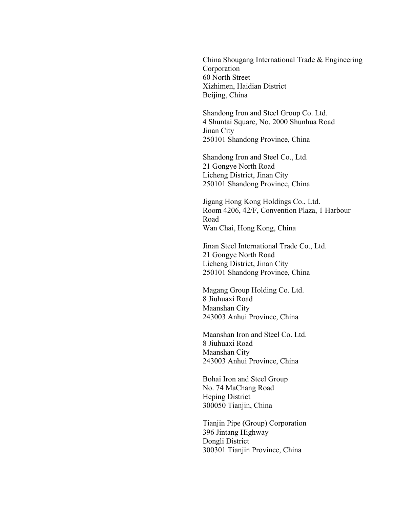China Shougang International Trade & Engineering Corporation 60 North Street Xizhimen, Haidian District Beijing, China

Shandong Iron and Steel Group Co. Ltd. 4 Shuntai Square, No. 2000 Shunhua Road Jinan City 250101 Shandong Province, China

Shandong Iron and Steel Co., Ltd. 21 Gongye North Road Licheng District, Jinan City 250101 Shandong Province, China

Jigang Hong Kong Holdings Co., Ltd. Room 4206, 42/F, Convention Plaza, 1 Harbour Road Wan Chai, Hong Kong, China

Jinan Steel International Trade Co., Ltd. 21 Gongye North Road Licheng District, Jinan City 250101 Shandong Province, China

Magang Group Holding Co. Ltd. 8 Jiuhuaxi Road Maanshan City 243003 Anhui Province, China

Maanshan Iron and Steel Co. Ltd. 8 Jiuhuaxi Road Maanshan City 243003 Anhui Province, China

Bohai Iron and Steel Group No. 74 MaChang Road Heping District 300050 Tianjin, China

Tianjin Pipe (Group) Corporation 396 Jintang Highway Dongli District 300301 Tianjin Province, China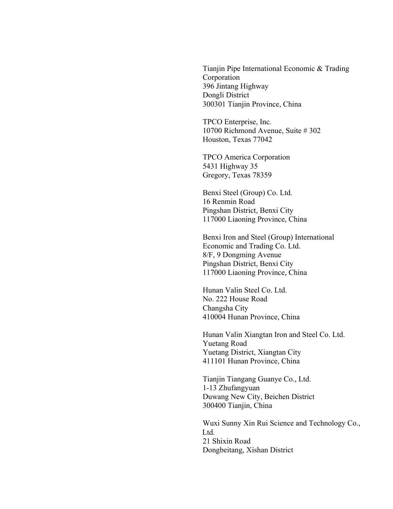Tianjin Pipe International Economic & Trading Corporation 396 Jintang Highway Dongli District 300301 Tianjin Province, China

TPCO Enterprise, Inc. 10700 Richmond Avenue, Suite # 302 Houston, Texas 77042

TPCO America Corporation 5431 Highway 35 Gregory, Texas 78359

Benxi Steel (Group) Co. Ltd. 16 Renmin Road Pingshan District, Benxi City 117000 Liaoning Province, China

Benxi Iron and Steel (Group) International Economic and Trading Co. Ltd. 8/F, 9 Dongming Avenue Pingshan District, Benxi City 117000 Liaoning Province, China

Hunan Valin Steel Co. Ltd. No. 222 House Road Changsha City 410004 Hunan Province, China

Hunan Valin Xiangtan Iron and Steel Co. Ltd. Yuetang Road Yuetang District, Xiangtan City 411101 Hunan Province, China

Tianjin Tiangang Guanye Co., Ltd. 1-13 Zhufangyuan Duwang New City, Beichen District 300400 Tianjin, China

Wuxi Sunny Xin Rui Science and Technology Co., Ltd. 21 Shixin Road Dongbeitang, Xishan District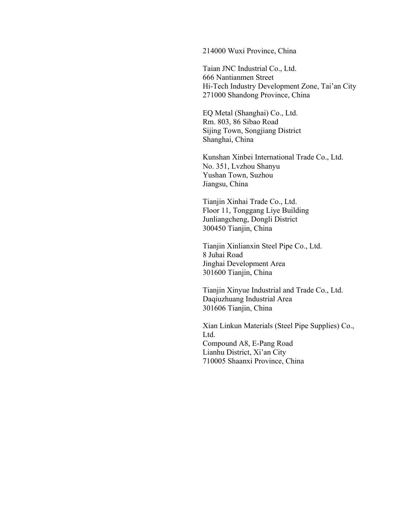#### 214000 Wuxi Province, China

Taian JNC Industrial Co., Ltd. 666 Nantianmen Street Hi-Tech Industry Development Zone, Tai'an City 271000 Shandong Province, China

EQ Metal (Shanghai) Co., Ltd. Rm. 803, 86 Sibao Road Sijing Town, Songjiang District Shanghai, China

Kunshan Xinbei International Trade Co., Ltd. No. 351, Lvzhou Shanyu Yushan Town, Suzhou Jiangsu, China

Tianjin Xinhai Trade Co., Ltd. Floor 11, Tonggang Liye Building Junliangcheng, Dongli District 300450 Tianjin, China

Tianjin Xinlianxin Steel Pipe Co., Ltd. 8 Juhai Road Jinghai Development Area 301600 Tianjin, China

Tianjin Xinyue Industrial and Trade Co., Ltd. Daqiuzhuang Industrial Area 301606 Tianjin, China

Xian Linkun Materials (Steel Pipe Supplies) Co., Ltd. Compound A8, E-Pang Road Lianhu District, Xi'an City 710005 Shaanxi Province, China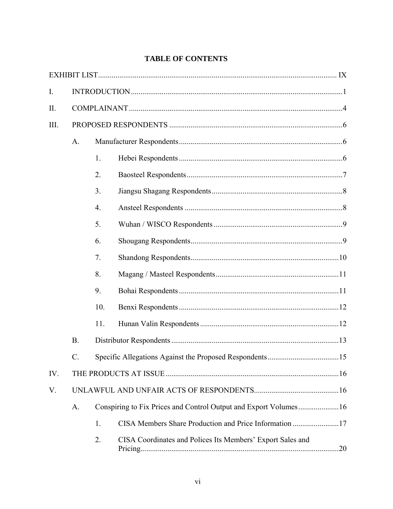| $I_{\cdot}$ |           |     |                                                                  |     |  |
|-------------|-----------|-----|------------------------------------------------------------------|-----|--|
| II.         |           |     |                                                                  |     |  |
| III.        |           |     |                                                                  |     |  |
|             | A.        |     |                                                                  |     |  |
|             |           | 1.  |                                                                  |     |  |
|             |           | 2.  |                                                                  |     |  |
|             |           | 3.  |                                                                  |     |  |
|             |           | 4.  |                                                                  |     |  |
|             |           | 5.  |                                                                  |     |  |
|             |           | 6.  |                                                                  |     |  |
|             |           | 7.  |                                                                  |     |  |
|             |           | 8.  |                                                                  |     |  |
|             |           | 9.  |                                                                  |     |  |
|             |           | 10. |                                                                  |     |  |
|             |           | 11. |                                                                  |     |  |
|             | <b>B.</b> |     |                                                                  |     |  |
|             |           |     |                                                                  |     |  |
| IV.         |           |     |                                                                  |     |  |
| V.          |           |     |                                                                  |     |  |
|             | A.        |     | Conspiring to Fix Prices and Control Output and Export Volumes16 |     |  |
|             |           | 1.  | CISA Members Share Production and Price Information 17           |     |  |
|             |           | 2.  | CISA Coordinates and Polices Its Members' Export Sales and       | .20 |  |

## **TABLE OF CONTENTS**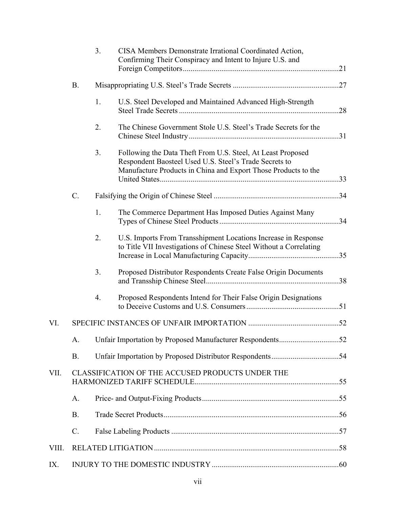|       |                                                  | 3. | CISA Members Demonstrate Irrational Coordinated Action,<br>Confirming Their Conspiracy and Intent to Injure U.S. and                                                                    |  |
|-------|--------------------------------------------------|----|-----------------------------------------------------------------------------------------------------------------------------------------------------------------------------------------|--|
|       | <b>B.</b>                                        |    |                                                                                                                                                                                         |  |
|       |                                                  | 1. | U.S. Steel Developed and Maintained Advanced High-Strength                                                                                                                              |  |
|       |                                                  | 2. | The Chinese Government Stole U.S. Steel's Trade Secrets for the                                                                                                                         |  |
|       |                                                  | 3. | Following the Data Theft From U.S. Steel, At Least Proposed<br>Respondent Baosteel Used U.S. Steel's Trade Secrets to<br>Manufacture Products in China and Export Those Products to the |  |
|       | $C$ .                                            |    |                                                                                                                                                                                         |  |
|       |                                                  | 1. | The Commerce Department Has Imposed Duties Against Many                                                                                                                                 |  |
|       |                                                  | 2. | U.S. Imports From Transshipment Locations Increase in Response<br>to Title VII Investigations of Chinese Steel Without a Correlating                                                    |  |
|       |                                                  | 3. | Proposed Distributor Respondents Create False Origin Documents                                                                                                                          |  |
|       |                                                  | 4. | Proposed Respondents Intend for Their False Origin Designations                                                                                                                         |  |
| VI.   |                                                  |    |                                                                                                                                                                                         |  |
|       | A.                                               |    |                                                                                                                                                                                         |  |
|       | <b>B.</b>                                        |    |                                                                                                                                                                                         |  |
| VII.  | CLASSIFICATION OF THE ACCUSED PRODUCTS UNDER THE |    |                                                                                                                                                                                         |  |
|       | A.                                               |    |                                                                                                                                                                                         |  |
|       | <b>B.</b>                                        |    |                                                                                                                                                                                         |  |
|       | $C$ .                                            |    |                                                                                                                                                                                         |  |
| VIII. |                                                  |    |                                                                                                                                                                                         |  |
| IX.   |                                                  |    |                                                                                                                                                                                         |  |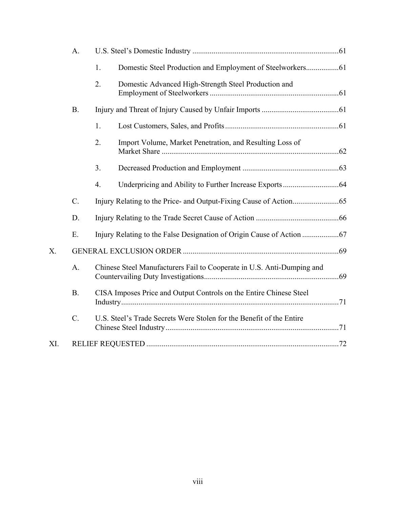| A.  |           |                                                                        |  |  |
|-----|-----------|------------------------------------------------------------------------|--|--|
|     |           | 1.                                                                     |  |  |
|     |           | 2.<br>Domestic Advanced High-Strength Steel Production and             |  |  |
|     | <b>B.</b> |                                                                        |  |  |
|     |           | 1.                                                                     |  |  |
|     |           | Import Volume, Market Penetration, and Resulting Loss of<br>2.         |  |  |
|     |           | 3.                                                                     |  |  |
|     |           | 4.                                                                     |  |  |
|     | $C$ .     |                                                                        |  |  |
|     | D.        |                                                                        |  |  |
|     | Ε.        |                                                                        |  |  |
| X.  |           |                                                                        |  |  |
|     | A.        | Chinese Steel Manufacturers Fail to Cooperate in U.S. Anti-Dumping and |  |  |
|     | <b>B.</b> | CISA Imposes Price and Output Controls on the Entire Chinese Steel     |  |  |
|     | $C$ .     | U.S. Steel's Trade Secrets Were Stolen for the Benefit of the Entire   |  |  |
| XI. |           |                                                                        |  |  |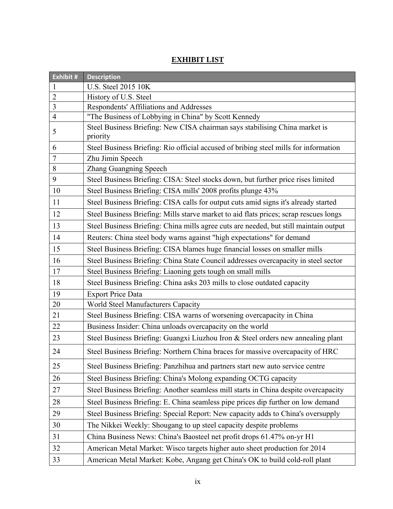# **Exhibit # Description** 1 U.S. Steel 2015 10K 2 History of U.S. Steel 3 Respondents' Affiliations and Addresses 4 "The Business of Lobbying in China" by Scott Kennedy <sup>5</sup>Steel Business Briefing: New CISA chairman says stabilising China market is priority 6 Steel Business Briefing: Rio official accused of bribing steel mills for information 7 Zhu Jimin Speech 8 Zhang Guangning Speech 9 Steel Business Briefing: CISA: Steel stocks down, but further price rises limited 10 Steel Business Briefing: CISA mills' 2008 profits plunge 43% 11 Steel Business Briefing: CISA calls for output cuts amid signs it's already started 12 Steel Business Briefing: Mills starve market to aid flats prices; scrap rescues longs 13 Steel Business Briefing: China mills agree cuts are needed, but still maintain output 14 Reuters: China steel body warns against "high expectations" for demand 15 Steel Business Briefing: CISA blames huge financial losses on smaller mills 16 Steel Business Briefing: China State Council addresses overcapacity in steel sector 17 Steel Business Briefing: Liaoning gets tough on small mills 18 Steel Business Briefing: China asks 203 mills to close outdated capacity 19 Export Price Data 20 World Steel Manufacturers Capacity 21 Steel Business Briefing: CISA warns of worsening overcapacity in China 22 Business Insider: China unloads overcapacity on the world 23 Steel Business Briefing: Guangxi Liuzhou Iron & Steel orders new annealing plant 24 Steel Business Briefing: Northern China braces for massive overcapacity of HRC 25 Steel Business Briefing: Panzhihua and partners start new auto service centre 26 Steel Business Briefing: China's Molong expanding OCTG capacity 27 Steel Business Briefing: Another seamless mill starts in China despite overcapacity 28 Steel Business Briefing: E. China seamless pipe prices dip further on low demand 29 Steel Business Briefing: Special Report: New capacity adds to China's oversupply 30 The Nikkei Weekly: Shougang to up steel capacity despite problems 31 China Business News: China's Baosteel net profit drops 61.47% on-yr H1 32 American Metal Market: Wisco targets higher auto sheet production for 2014 33 American Metal Market: Kobe, Angang get China's OK to build cold-roll plant

## **EXHIBIT LIST**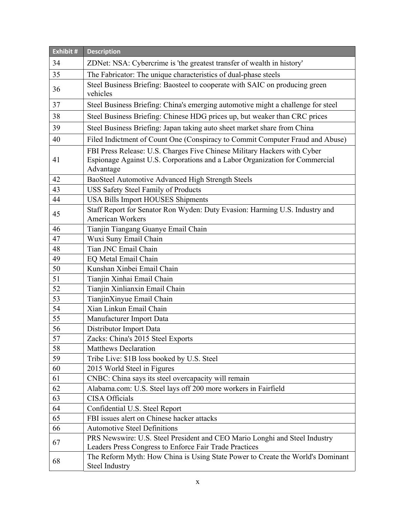| Exhibit # | <b>Description</b>                                                                                                                                                   |  |  |
|-----------|----------------------------------------------------------------------------------------------------------------------------------------------------------------------|--|--|
| 34        | ZDNet: NSA: Cybercrime is 'the greatest transfer of wealth in history'                                                                                               |  |  |
| 35        | The Fabricator: The unique characteristics of dual-phase steels                                                                                                      |  |  |
| 36        | Steel Business Briefing: Baosteel to cooperate with SAIC on producing green<br>vehicles                                                                              |  |  |
| 37        | Steel Business Briefing: China's emerging automotive might a challenge for steel                                                                                     |  |  |
| 38        | Steel Business Briefing: Chinese HDG prices up, but weaker than CRC prices                                                                                           |  |  |
| 39        | Steel Business Briefing: Japan taking auto sheet market share from China                                                                                             |  |  |
| 40        | Filed Indictment of Count One (Conspiracy to Commit Computer Fraud and Abuse)                                                                                        |  |  |
| 41        | FBI Press Release: U.S. Charges Five Chinese Military Hackers with Cyber<br>Espionage Against U.S. Corporations and a Labor Organization for Commercial<br>Advantage |  |  |
| 42        | BaoSteel Automotive Advanced High Strength Steels                                                                                                                    |  |  |
| 43        | <b>USS Safety Steel Family of Products</b>                                                                                                                           |  |  |
| 44        | <b>USA Bills Import HOUSES Shipments</b>                                                                                                                             |  |  |
| 45        | Staff Report for Senator Ron Wyden: Duty Evasion: Harming U.S. Industry and<br><b>American Workers</b>                                                               |  |  |
| 46        | Tianjin Tiangang Guanye Email Chain                                                                                                                                  |  |  |
| 47        | Wuxi Suny Email Chain                                                                                                                                                |  |  |
| 48        | Tian JNC Email Chain                                                                                                                                                 |  |  |
| 49        | EQ Metal Email Chain                                                                                                                                                 |  |  |
| 50        | Kunshan Xinbei Email Chain                                                                                                                                           |  |  |
| 51        | Tianjin Xinhai Email Chain                                                                                                                                           |  |  |
| 52        | Tianjin Xinlianxin Email Chain                                                                                                                                       |  |  |
| 53        | TianjinXinyue Email Chain                                                                                                                                            |  |  |
| 54        | Xian Linkun Email Chain                                                                                                                                              |  |  |
| 55        | Manufacturer Import Data                                                                                                                                             |  |  |
| 56        | Distributor Import Data                                                                                                                                              |  |  |
| 57        | Zacks: China's 2015 Steel Exports                                                                                                                                    |  |  |
| 58        | <b>Matthews Declaration</b>                                                                                                                                          |  |  |
| 59        | Tribe Live: \$1B loss booked by U.S. Steel                                                                                                                           |  |  |
| 60        | 2015 World Steel in Figures                                                                                                                                          |  |  |
| 61        | CNBC: China says its steel overcapacity will remain                                                                                                                  |  |  |
| 62        | Alabama.com: U.S. Steel lays off 200 more workers in Fairfield                                                                                                       |  |  |
| 63        | <b>CISA Officials</b>                                                                                                                                                |  |  |
| 64        | Confidential U.S. Steel Report                                                                                                                                       |  |  |
| 65        | FBI issues alert on Chinese hacker attacks                                                                                                                           |  |  |
| 66        | <b>Automotive Steel Definitions</b>                                                                                                                                  |  |  |
| 67        | PRS Newswire: U.S. Steel President and CEO Mario Longhi and Steel Industry<br>Leaders Press Congress to Enforce Fair Trade Practices                                 |  |  |
| 68        | The Reform Myth: How China is Using State Power to Create the World's Dominant<br><b>Steel Industry</b>                                                              |  |  |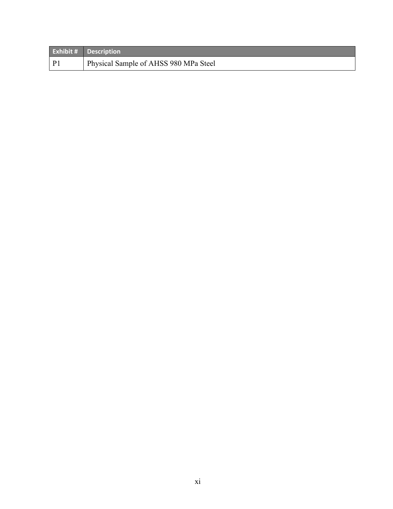|              | <b>Exhibit # Description</b>          |
|--------------|---------------------------------------|
| $\mathbf{p}$ | Physical Sample of AHSS 980 MPa Steel |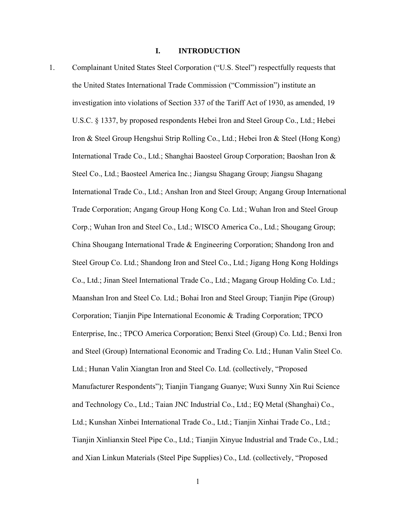#### **I. INTRODUCTION**

1. Complainant United States Steel Corporation ("U.S. Steel") respectfully requests that the United States International Trade Commission ("Commission") institute an investigation into violations of Section 337 of the Tariff Act of 1930, as amended, 19 U.S.C. § 1337, by proposed respondents Hebei Iron and Steel Group Co., Ltd.; Hebei Iron & Steel Group Hengshui Strip Rolling Co., Ltd.; Hebei Iron & Steel (Hong Kong) International Trade Co., Ltd.; Shanghai Baosteel Group Corporation; Baoshan Iron & Steel Co., Ltd.; Baosteel America Inc.; Jiangsu Shagang Group; Jiangsu Shagang International Trade Co., Ltd.; Anshan Iron and Steel Group; Angang Group International Trade Corporation; Angang Group Hong Kong Co. Ltd.; Wuhan Iron and Steel Group Corp.; Wuhan Iron and Steel Co., Ltd.; WISCO America Co., Ltd.; Shougang Group; China Shougang International Trade & Engineering Corporation; Shandong Iron and Steel Group Co. Ltd.; Shandong Iron and Steel Co., Ltd.; Jigang Hong Kong Holdings Co., Ltd.; Jinan Steel International Trade Co., Ltd.; Magang Group Holding Co. Ltd.; Maanshan Iron and Steel Co. Ltd.; Bohai Iron and Steel Group; Tianjin Pipe (Group) Corporation; Tianjin Pipe International Economic & Trading Corporation; TPCO Enterprise, Inc.; TPCO America Corporation; Benxi Steel (Group) Co. Ltd.; Benxi Iron and Steel (Group) International Economic and Trading Co. Ltd.; Hunan Valin Steel Co. Ltd.; Hunan Valin Xiangtan Iron and Steel Co. Ltd. (collectively, "Proposed Manufacturer Respondents"); Tianjin Tiangang Guanye; Wuxi Sunny Xin Rui Science and Technology Co., Ltd.; Taian JNC Industrial Co., Ltd.; EQ Metal (Shanghai) Co., Ltd.; Kunshan Xinbei International Trade Co., Ltd.; Tianjin Xinhai Trade Co., Ltd.; Tianjin Xinlianxin Steel Pipe Co., Ltd.; Tianjin Xinyue Industrial and Trade Co., Ltd.; and Xian Linkun Materials (Steel Pipe Supplies) Co., Ltd. (collectively, "Proposed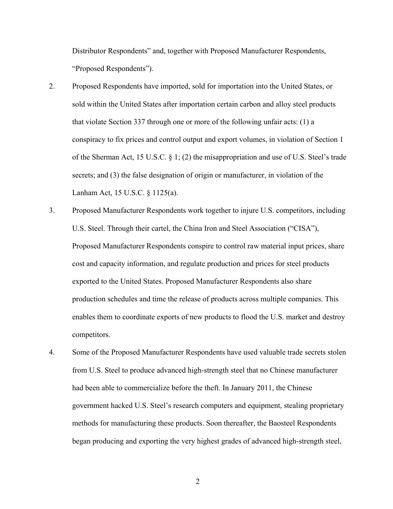Distributor Respondents" and, together with Proposed Manufacturer Respondents, "Proposed Respondents").

- 2. Proposed Respondents have imported, sold for importation into the United States, or sold within the United States after importation certain carbon and alloy steel products that violate Section 337 through one or more of the following unfair acts: (1) a conspiracy to fix prices and control output and export volumes, in violation of Section 1 of the Sherman Act, 15 U.S.C. § 1; (2) the misappropriation and use of U.S. Steel's trade secrets; and (3) the false designation of origin or manufacturer, in violation of the Lanham Act, 15 U.S.C. § 1125(a).
- 3. Proposed Manufacturer Respondents work together to injure U.S. competitors, including U.S. Steel. Through their cartel, the China Iron and Steel Association ("CISA"), Proposed Manufacturer Respondents conspire to control raw material input prices, share cost and capacity information, and regulate production and prices for steel products exported to the United States. Proposed Manufacturer Respondents also share production schedules and time the release of products across multiple companies. This enables them to coordinate exports of new products to flood the U.S. market and destroy competitors.
- 4. Some of the Proposed Manufacturer Respondents have used valuable trade secrets stolen from U.S. Steel to produce advanced high-strength steel that no Chinese manufacturer had been able to commercialize before the theft. In January 2011, the Chinese government hacked U.S. Steel's research computers and equipment, stealing proprietary methods for manufacturing these products. Soon thereafter, the Baosteel Respondents began producing and exporting the very highest grades of advanced high-strength steel,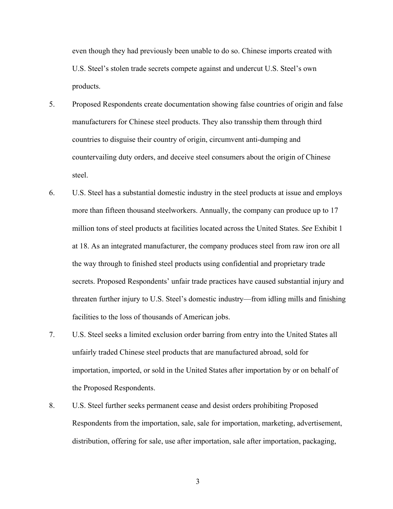even though they had previously been unable to do so. Chinese imports created with U.S. Steel's stolen trade secrets compete against and undercut U.S. Steel's own products.

- 5. Proposed Respondents create documentation showing false countries of origin and false manufacturers for Chinese steel products. They also transship them through third countries to disguise their country of origin, circumvent anti-dumping and countervailing duty orders, and deceive steel consumers about the origin of Chinese steel.
- 6. U.S. Steel has a substantial domestic industry in the steel products at issue and employs more than fifteen thousand steelworkers. Annually, the company can produce up to 17 million tons of steel products at facilities located across the United States. *See* Exhibit 1 at 18. As an integrated manufacturer, the company produces steel from raw iron ore all the way through to finished steel products using confidential and proprietary trade secrets. Proposed Respondents' unfair trade practices have caused substantial injury and threaten further injury to U.S. Steel's domestic industry—from idling mills and finishing facilities to the loss of thousands of American jobs.
- 7. U.S. Steel seeks a limited exclusion order barring from entry into the United States all unfairly traded Chinese steel products that are manufactured abroad, sold for importation, imported, or sold in the United States after importation by or on behalf of the Proposed Respondents.
- 8. U.S. Steel further seeks permanent cease and desist orders prohibiting Proposed Respondents from the importation, sale, sale for importation, marketing, advertisement, distribution, offering for sale, use after importation, sale after importation, packaging,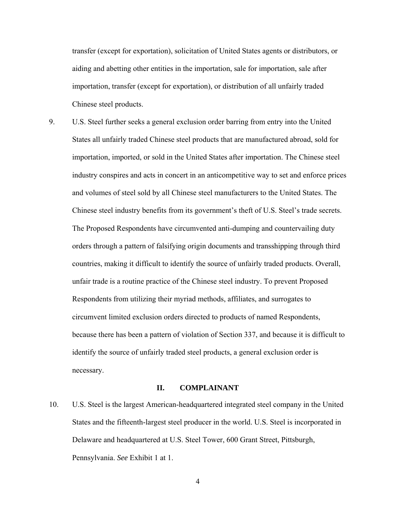transfer (except for exportation), solicitation of United States agents or distributors, or aiding and abetting other entities in the importation, sale for importation, sale after importation, transfer (except for exportation), or distribution of all unfairly traded Chinese steel products.

9. U.S. Steel further seeks a general exclusion order barring from entry into the United States all unfairly traded Chinese steel products that are manufactured abroad, sold for importation, imported, or sold in the United States after importation. The Chinese steel industry conspires and acts in concert in an anticompetitive way to set and enforce prices and volumes of steel sold by all Chinese steel manufacturers to the United States. The Chinese steel industry benefits from its government's theft of U.S. Steel's trade secrets. The Proposed Respondents have circumvented anti-dumping and countervailing duty orders through a pattern of falsifying origin documents and transshipping through third countries, making it difficult to identify the source of unfairly traded products. Overall, unfair trade is a routine practice of the Chinese steel industry. To prevent Proposed Respondents from utilizing their myriad methods, affiliates, and surrogates to circumvent limited exclusion orders directed to products of named Respondents, because there has been a pattern of violation of Section 337, and because it is difficult to identify the source of unfairly traded steel products, a general exclusion order is necessary.

#### **II. COMPLAINANT**

10. U.S. Steel is the largest American-headquartered integrated steel company in the United States and the fifteenth-largest steel producer in the world. U.S. Steel is incorporated in Delaware and headquartered at U.S. Steel Tower, 600 Grant Street, Pittsburgh, Pennsylvania. *See* Exhibit 1 at 1.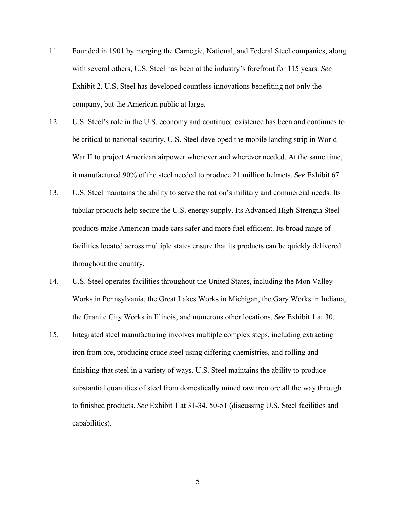- 11. Founded in 1901 by merging the Carnegie, National, and Federal Steel companies, along with several others, U.S. Steel has been at the industry's forefront for 115 years. *See*  Exhibit 2. U.S. Steel has developed countless innovations benefiting not only the company, but the American public at large.
- 12. U.S. Steel's role in the U.S. economy and continued existence has been and continues to be critical to national security. U.S. Steel developed the mobile landing strip in World War II to project American airpower whenever and wherever needed. At the same time, it manufactured 90% of the steel needed to produce 21 million helmets. *See* Exhibit 67.
- 13. U.S. Steel maintains the ability to serve the nation's military and commercial needs. Its tubular products help secure the U.S. energy supply. Its Advanced High-Strength Steel products make American-made cars safer and more fuel efficient. Its broad range of facilities located across multiple states ensure that its products can be quickly delivered throughout the country.
- 14. U.S. Steel operates facilities throughout the United States, including the Mon Valley Works in Pennsylvania, the Great Lakes Works in Michigan, the Gary Works in Indiana, the Granite City Works in Illinois, and numerous other locations. *See* Exhibit 1 at 30.
- 15. Integrated steel manufacturing involves multiple complex steps, including extracting iron from ore, producing crude steel using differing chemistries, and rolling and finishing that steel in a variety of ways. U.S. Steel maintains the ability to produce substantial quantities of steel from domestically mined raw iron ore all the way through to finished products. *See* Exhibit 1 at 31-34, 50-51 (discussing U.S. Steel facilities and capabilities).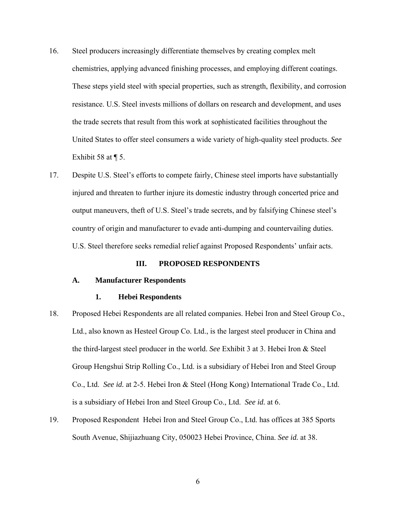- 16. Steel producers increasingly differentiate themselves by creating complex melt chemistries, applying advanced finishing processes, and employing different coatings. These steps yield steel with special properties, such as strength, flexibility, and corrosion resistance. U.S. Steel invests millions of dollars on research and development, and uses the trade secrets that result from this work at sophisticated facilities throughout the United States to offer steel consumers a wide variety of high-quality steel products. *See*  Exhibit 58 at  $\P$  5.
- 17. Despite U.S. Steel's efforts to compete fairly, Chinese steel imports have substantially injured and threaten to further injure its domestic industry through concerted price and output maneuvers, theft of U.S. Steel's trade secrets, and by falsifying Chinese steel's country of origin and manufacturer to evade anti-dumping and countervailing duties. U.S. Steel therefore seeks remedial relief against Proposed Respondents' unfair acts.

#### **III. PROPOSED RESPONDENTS**

#### **A. Manufacturer Respondents**

### **1. Hebei Respondents**

- 18. Proposed Hebei Respondents are all related companies. Hebei Iron and Steel Group Co., Ltd., also known as Hesteel Group Co. Ltd., is the largest steel producer in China and the third-largest steel producer in the world. *See* Exhibit 3 at 3. Hebei Iron & Steel Group Hengshui Strip Rolling Co., Ltd. is a subsidiary of Hebei Iron and Steel Group Co., Ltd. *See id.* at 2-5. Hebei Iron & Steel (Hong Kong) International Trade Co., Ltd. is a subsidiary of Hebei Iron and Steel Group Co., Ltd. *See id.* at 6.
- 19. Proposed Respondent Hebei Iron and Steel Group Co., Ltd. has offices at 385 Sports South Avenue, Shijiazhuang City, 050023 Hebei Province, China. *See id.* at 38.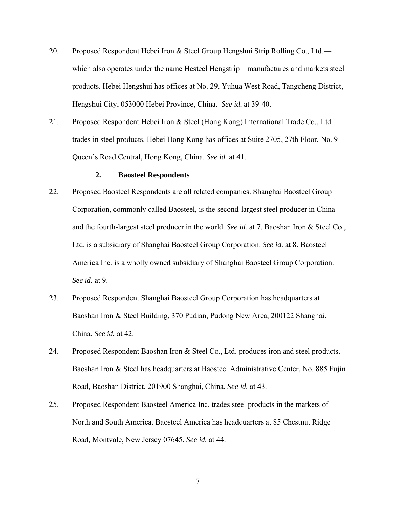- 20. Proposed Respondent Hebei Iron & Steel Group Hengshui Strip Rolling Co., Ltd. which also operates under the name Hesteel Hengstrip—manufactures and markets steel products. Hebei Hengshui has offices at No. 29, Yuhua West Road, Tangcheng District, Hengshui City, 053000 Hebei Province, China. *See id.* at 39-40.
- 21. Proposed Respondent Hebei Iron & Steel (Hong Kong) International Trade Co., Ltd. trades in steel products. Hebei Hong Kong has offices at Suite 2705, 27th Floor, No. 9 Queen's Road Central, Hong Kong, China. *See id.* at 41.

#### **2. Baosteel Respondents**

- 22. Proposed Baosteel Respondents are all related companies. Shanghai Baosteel Group Corporation, commonly called Baosteel, is the second-largest steel producer in China and the fourth-largest steel producer in the world. *See id.* at 7. Baoshan Iron & Steel Co., Ltd. is a subsidiary of Shanghai Baosteel Group Corporation. *See id.* at 8. Baosteel America Inc. is a wholly owned subsidiary of Shanghai Baosteel Group Corporation. *See id.* at 9.
- 23. Proposed Respondent Shanghai Baosteel Group Corporation has headquarters at Baoshan Iron & Steel Building, 370 Pudian, Pudong New Area, 200122 Shanghai, China. *See id.* at 42.
- 24. Proposed Respondent Baoshan Iron & Steel Co., Ltd. produces iron and steel products. Baoshan Iron & Steel has headquarters at Baosteel Administrative Center, No. 885 Fujin Road, Baoshan District, 201900 Shanghai, China. *See id.* at 43.
- 25. Proposed Respondent Baosteel America Inc. trades steel products in the markets of North and South America. Baosteel America has headquarters at 85 Chestnut Ridge Road, Montvale, New Jersey 07645. *See id.* at 44.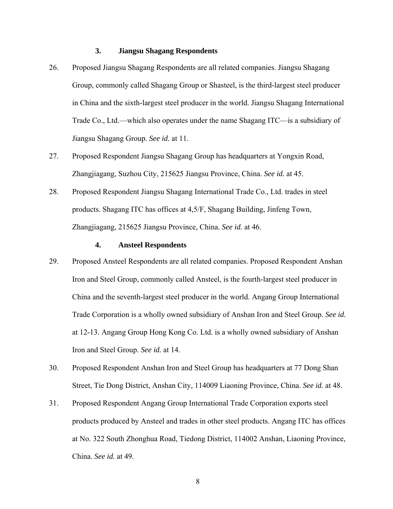## **3. Jiangsu Shagang Respondents**

- 26. Proposed Jiangsu Shagang Respondents are all related companies. Jiangsu Shagang Group, commonly called Shagang Group or Shasteel, is the third-largest steel producer in China and the sixth-largest steel producer in the world. Jiangsu Shagang International Trade Co., Ltd.—which also operates under the name Shagang ITC—is a subsidiary of Jiangsu Shagang Group. *See id.* at 11.
- 27. Proposed Respondent Jiangsu Shagang Group has headquarters at Yongxin Road, Zhangjiagang, Suzhou City, 215625 Jiangsu Province, China. *See id.* at 45.
- 28. Proposed Respondent Jiangsu Shagang International Trade Co., Ltd. trades in steel products. Shagang ITC has offices at 4,5/F, Shagang Building, Jinfeng Town, Zhangjiagang, 215625 Jiangsu Province, China. *See id.* at 46.

## **4. Ansteel Respondents**

- 29. Proposed Ansteel Respondents are all related companies. Proposed Respondent Anshan Iron and Steel Group, commonly called Ansteel, is the fourth-largest steel producer in China and the seventh-largest steel producer in the world. Angang Group International Trade Corporation is a wholly owned subsidiary of Anshan Iron and Steel Group. *See id.* at 12-13. Angang Group Hong Kong Co. Ltd. is a wholly owned subsidiary of Anshan Iron and Steel Group. *See id.* at 14.
- 30. Proposed Respondent Anshan Iron and Steel Group has headquarters at 77 Dong Shan Street, Tie Dong District, Anshan City, 114009 Liaoning Province, China. *See id.* at 48.
- 31. Proposed Respondent Angang Group International Trade Corporation exports steel products produced by Ansteel and trades in other steel products. Angang ITC has offices at No. 322 South Zhonghua Road, Tiedong District, 114002 Anshan, Liaoning Province, China. *See id.* at 49.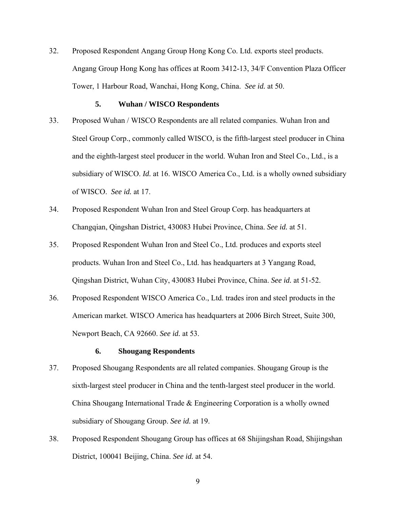32. Proposed Respondent Angang Group Hong Kong Co. Ltd. exports steel products. Angang Group Hong Kong has offices at Room 3412-13, 34/F Convention Plaza Officer Tower, 1 Harbour Road, Wanchai, Hong Kong, China. *See id.* at 50.

#### **5. Wuhan / WISCO Respondents**

- 33. Proposed Wuhan / WISCO Respondents are all related companies. Wuhan Iron and Steel Group Corp., commonly called WISCO, is the fifth-largest steel producer in China and the eighth-largest steel producer in the world. Wuhan Iron and Steel Co., Ltd., is a subsidiary of WISCO. *Id.* at 16. WISCO America Co., Ltd. is a wholly owned subsidiary of WISCO. *See id.* at 17.
- 34. Proposed Respondent Wuhan Iron and Steel Group Corp. has headquarters at Changqian, Qingshan District, 430083 Hubei Province, China. *See id.* at 51.
- 35. Proposed Respondent Wuhan Iron and Steel Co., Ltd. produces and exports steel products. Wuhan Iron and Steel Co., Ltd. has headquarters at 3 Yangang Road, Qingshan District, Wuhan City, 430083 Hubei Province, China. *See id.* at 51-52.
- 36. Proposed Respondent WISCO America Co., Ltd. trades iron and steel products in the American market. WISCO America has headquarters at 2006 Birch Street, Suite 300, Newport Beach, CA 92660. *See id.* at 53.

## **6. Shougang Respondents**

- 37. Proposed Shougang Respondents are all related companies. Shougang Group is the sixth-largest steel producer in China and the tenth-largest steel producer in the world. China Shougang International Trade & Engineering Corporation is a wholly owned subsidiary of Shougang Group. *See id.* at 19.
- 38. Proposed Respondent Shougang Group has offices at 68 Shijingshan Road, Shijingshan District, 100041 Beijing, China. *See id.* at 54.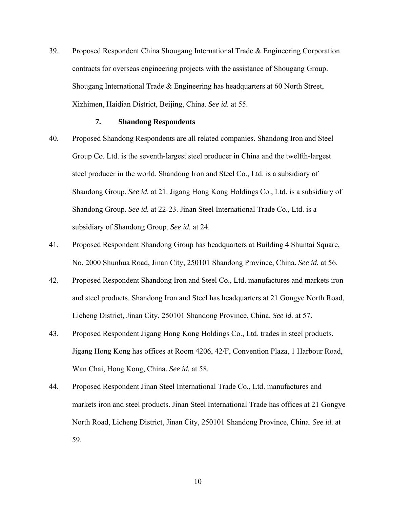39. Proposed Respondent China Shougang International Trade & Engineering Corporation contracts for overseas engineering projects with the assistance of Shougang Group. Shougang International Trade & Engineering has headquarters at 60 North Street, Xizhimen, Haidian District, Beijing, China. *See id.* at 55.

## **7. Shandong Respondents**

- 40. Proposed Shandong Respondents are all related companies. Shandong Iron and Steel Group Co. Ltd. is the seventh-largest steel producer in China and the twelfth-largest steel producer in the world. Shandong Iron and Steel Co., Ltd. is a subsidiary of Shandong Group. *See id.* at 21. Jigang Hong Kong Holdings Co., Ltd. is a subsidiary of Shandong Group. *See id.* at 22-23. Jinan Steel International Trade Co., Ltd. is a subsidiary of Shandong Group. *See id.* at 24.
- 41. Proposed Respondent Shandong Group has headquarters at Building 4 Shuntai Square, No. 2000 Shunhua Road, Jinan City, 250101 Shandong Province, China. *See id.* at 56.
- 42. Proposed Respondent Shandong Iron and Steel Co., Ltd. manufactures and markets iron and steel products. Shandong Iron and Steel has headquarters at 21 Gongye North Road, Licheng District, Jinan City, 250101 Shandong Province, China. *See id.* at 57.
- 43. Proposed Respondent Jigang Hong Kong Holdings Co., Ltd. trades in steel products. Jigang Hong Kong has offices at Room 4206, 42/F, Convention Plaza, 1 Harbour Road, Wan Chai, Hong Kong, China. *See id.* at 58.
- 44. Proposed Respondent Jinan Steel International Trade Co., Ltd. manufactures and markets iron and steel products. Jinan Steel International Trade has offices at 21 Gongye North Road, Licheng District, Jinan City, 250101 Shandong Province, China. *See id.* at 59.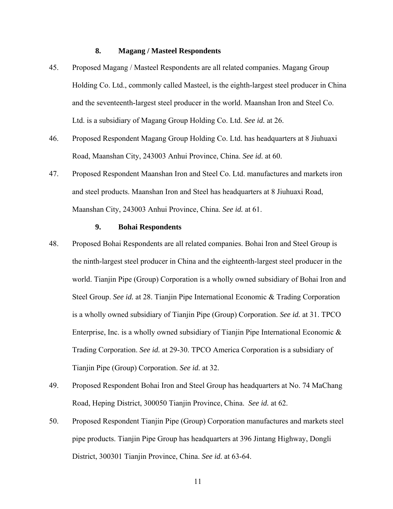## **8. Magang / Masteel Respondents**

- 45. Proposed Magang / Masteel Respondents are all related companies. Magang Group Holding Co. Ltd., commonly called Masteel, is the eighth-largest steel producer in China and the seventeenth-largest steel producer in the world. Maanshan Iron and Steel Co. Ltd. is a subsidiary of Magang Group Holding Co. Ltd. *See id.* at 26.
- 46. Proposed Respondent Magang Group Holding Co. Ltd. has headquarters at 8 Jiuhuaxi Road, Maanshan City, 243003 Anhui Province, China. *See id.* at 60.
- 47. Proposed Respondent Maanshan Iron and Steel Co. Ltd. manufactures and markets iron and steel products. Maanshan Iron and Steel has headquarters at 8 Jiuhuaxi Road, Maanshan City, 243003 Anhui Province, China. *See id.* at 61.

#### **9. Bohai Respondents**

- 48. Proposed Bohai Respondents are all related companies. Bohai Iron and Steel Group is the ninth-largest steel producer in China and the eighteenth-largest steel producer in the world. Tianjin Pipe (Group) Corporation is a wholly owned subsidiary of Bohai Iron and Steel Group. *See id.* at 28. Tianjin Pipe International Economic & Trading Corporation is a wholly owned subsidiary of Tianjin Pipe (Group) Corporation. *See id.* at 31. TPCO Enterprise, Inc. is a wholly owned subsidiary of Tianjin Pipe International Economic & Trading Corporation. *See id.* at 29-30. TPCO America Corporation is a subsidiary of Tianjin Pipe (Group) Corporation. *See id.* at 32.
- 49. Proposed Respondent Bohai Iron and Steel Group has headquarters at No. 74 MaChang Road, Heping District, 300050 Tianjin Province, China. *See id.* at 62.
- 50. Proposed Respondent Tianjin Pipe (Group) Corporation manufactures and markets steel pipe products. Tianjin Pipe Group has headquarters at 396 Jintang Highway, Dongli District, 300301 Tianjin Province, China. *See id.* at 63-64.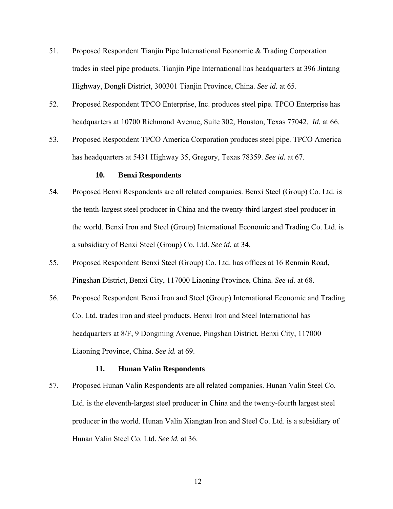- 51. Proposed Respondent Tianjin Pipe International Economic & Trading Corporation trades in steel pipe products. Tianjin Pipe International has headquarters at 396 Jintang Highway, Dongli District, 300301 Tianjin Province, China. *See id.* at 65.
- 52. Proposed Respondent TPCO Enterprise, Inc. produces steel pipe. TPCO Enterprise has headquarters at 10700 Richmond Avenue, Suite 302, Houston, Texas 77042. *Id.* at 66.
- 53. Proposed Respondent TPCO America Corporation produces steel pipe. TPCO America has headquarters at 5431 Highway 35, Gregory, Texas 78359. *See id.* at 67.

## **10. Benxi Respondents**

- 54. Proposed Benxi Respondents are all related companies. Benxi Steel (Group) Co. Ltd. is the tenth-largest steel producer in China and the twenty-third largest steel producer in the world. Benxi Iron and Steel (Group) International Economic and Trading Co. Ltd. is a subsidiary of Benxi Steel (Group) Co. Ltd. *See id.* at 34.
- 55. Proposed Respondent Benxi Steel (Group) Co. Ltd. has offices at 16 Renmin Road, Pingshan District, Benxi City, 117000 Liaoning Province, China. *See id.* at 68.
- 56. Proposed Respondent Benxi Iron and Steel (Group) International Economic and Trading Co. Ltd. trades iron and steel products. Benxi Iron and Steel International has headquarters at 8/F, 9 Dongming Avenue, Pingshan District, Benxi City, 117000 Liaoning Province, China. *See id.* at 69.

#### **11. Hunan Valin Respondents**

57. Proposed Hunan Valin Respondents are all related companies. Hunan Valin Steel Co. Ltd. is the eleventh-largest steel producer in China and the twenty-fourth largest steel producer in the world. Hunan Valin Xiangtan Iron and Steel Co. Ltd. is a subsidiary of Hunan Valin Steel Co. Ltd. *See id.* at 36.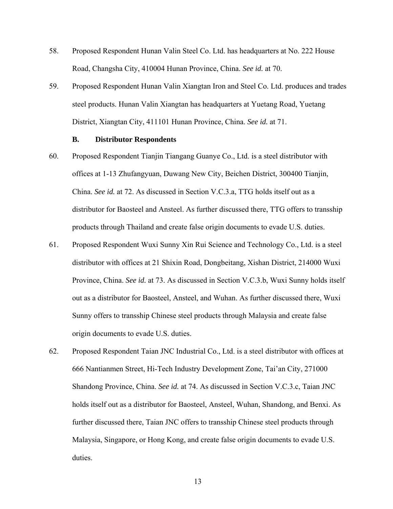- 58. Proposed Respondent Hunan Valin Steel Co. Ltd. has headquarters at No. 222 House Road, Changsha City, 410004 Hunan Province, China. *See id.* at 70.
- 59. Proposed Respondent Hunan Valin Xiangtan Iron and Steel Co. Ltd. produces and trades steel products. Hunan Valin Xiangtan has headquarters at Yuetang Road, Yuetang District, Xiangtan City, 411101 Hunan Province, China. *See id.* at 71.

#### **B. Distributor Respondents**

- 60. Proposed Respondent Tianjin Tiangang Guanye Co., Ltd. is a steel distributor with offices at 1-13 Zhufangyuan, Duwang New City, Beichen District, 300400 Tianjin, China. *See id.* at 72. As discussed in Section V.C.3.a, TTG holds itself out as a distributor for Baosteel and Ansteel. As further discussed there, TTG offers to transship products through Thailand and create false origin documents to evade U.S. duties.
- 61. Proposed Respondent Wuxi Sunny Xin Rui Science and Technology Co., Ltd. is a steel distributor with offices at 21 Shixin Road, Dongbeitang, Xishan District, 214000 Wuxi Province, China. *See id.* at 73. As discussed in Section V.C.3.b, Wuxi Sunny holds itself out as a distributor for Baosteel, Ansteel, and Wuhan. As further discussed there, Wuxi Sunny offers to transship Chinese steel products through Malaysia and create false origin documents to evade U.S. duties.
- 62. Proposed Respondent Taian JNC Industrial Co., Ltd. is a steel distributor with offices at 666 Nantianmen Street, Hi-Tech Industry Development Zone, Tai'an City, 271000 Shandong Province, China. *See id.* at 74. As discussed in Section V.C.3.c, Taian JNC holds itself out as a distributor for Baosteel, Ansteel, Wuhan, Shandong, and Benxi. As further discussed there, Taian JNC offers to transship Chinese steel products through Malaysia, Singapore, or Hong Kong, and create false origin documents to evade U.S. duties.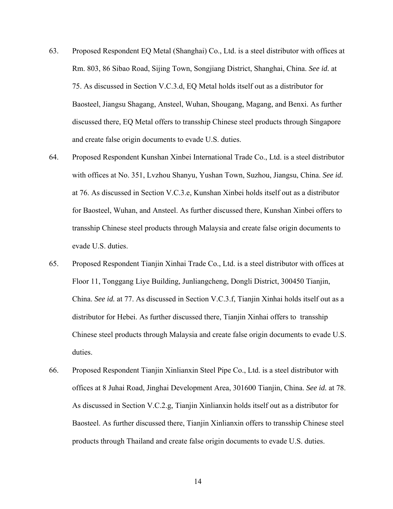- 63. Proposed Respondent EQ Metal (Shanghai) Co., Ltd. is a steel distributor with offices at Rm. 803, 86 Sibao Road, Sijing Town, Songjiang District, Shanghai, China. *See id.* at 75. As discussed in Section V.C.3.d, EQ Metal holds itself out as a distributor for Baosteel, Jiangsu Shagang, Ansteel, Wuhan, Shougang, Magang, and Benxi. As further discussed there, EQ Metal offers to transship Chinese steel products through Singapore and create false origin documents to evade U.S. duties.
- 64. Proposed Respondent Kunshan Xinbei International Trade Co., Ltd. is a steel distributor with offices at No. 351, Lvzhou Shanyu, Yushan Town, Suzhou, Jiangsu, China. *See id.* at 76. As discussed in Section V.C.3.e, Kunshan Xinbei holds itself out as a distributor for Baosteel, Wuhan, and Ansteel. As further discussed there, Kunshan Xinbei offers to transship Chinese steel products through Malaysia and create false origin documents to evade U.S. duties.
- 65. Proposed Respondent Tianjin Xinhai Trade Co., Ltd. is a steel distributor with offices at Floor 11, Tonggang Liye Building, Junliangcheng, Dongli District, 300450 Tianjin, China. *See id.* at 77. As discussed in Section V.C.3.f, Tianjin Xinhai holds itself out as a distributor for Hebei. As further discussed there, Tianjin Xinhai offers to transship Chinese steel products through Malaysia and create false origin documents to evade U.S. duties.
- 66. Proposed Respondent Tianjin Xinlianxin Steel Pipe Co., Ltd. is a steel distributor with offices at 8 Juhai Road, Jinghai Development Area, 301600 Tianjin, China. *See id.* at 78. As discussed in Section V.C.2.g, Tianjin Xinlianxin holds itself out as a distributor for Baosteel. As further discussed there, Tianjin Xinlianxin offers to transship Chinese steel products through Thailand and create false origin documents to evade U.S. duties.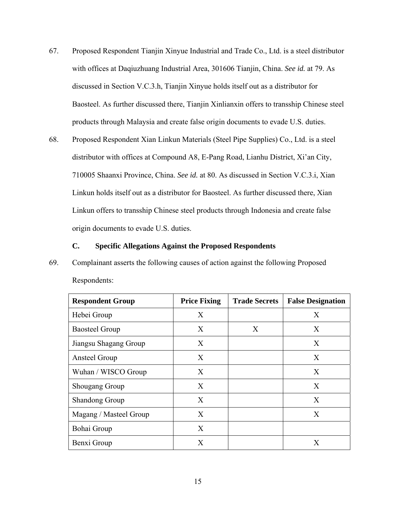- 67. Proposed Respondent Tianjin Xinyue Industrial and Trade Co., Ltd. is a steel distributor with offices at Daqiuzhuang Industrial Area, 301606 Tianjin, China. *See id.* at 79. As discussed in Section V.C.3.h, Tianjin Xinyue holds itself out as a distributor for Baosteel. As further discussed there, Tianjin Xinlianxin offers to transship Chinese steel products through Malaysia and create false origin documents to evade U.S. duties.
- 68. Proposed Respondent Xian Linkun Materials (Steel Pipe Supplies) Co., Ltd. is a steel distributor with offices at Compound A8, E-Pang Road, Lianhu District, Xi'an City, 710005 Shaanxi Province, China. *See id.* at 80. As discussed in Section V.C.3.i, Xian Linkun holds itself out as a distributor for Baosteel. As further discussed there, Xian Linkun offers to transship Chinese steel products through Indonesia and create false origin documents to evade U.S. duties.

#### **C. Specific Allegations Against the Proposed Respondents**

69. Complainant asserts the following causes of action against the following Proposed Respondents:

| <b>Respondent Group</b> | <b>Price Fixing</b> | <b>Trade Secrets</b> | <b>False Designation</b> |
|-------------------------|---------------------|----------------------|--------------------------|
| Hebei Group             | $\mathbf{X}$        |                      | X                        |
| <b>Baosteel Group</b>   | X                   | X                    | X                        |
| Jiangsu Shagang Group   | X                   |                      | X                        |
| Ansteel Group           | X                   |                      | X                        |
| Wuhan / WISCO Group     | $\mathbf{X}$        |                      | X                        |
| <b>Shougang Group</b>   | X                   |                      | X                        |
| <b>Shandong Group</b>   | X                   |                      | X                        |
| Magang / Masteel Group  | $\mathbf{X}$        |                      | X                        |
| Bohai Group             | $\mathbf{X}$        |                      |                          |
| Benxi Group             | X                   |                      | X                        |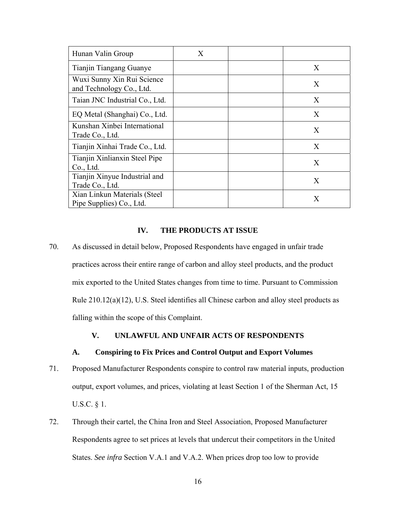| Hunan Valin Group                                        | X |              |
|----------------------------------------------------------|---|--------------|
| Tianjin Tiangang Guanye                                  |   | X            |
| Wuxi Sunny Xin Rui Science<br>and Technology Co., Ltd.   |   | X            |
| Taian JNC Industrial Co., Ltd.                           |   | X            |
| EQ Metal (Shanghai) Co., Ltd.                            |   | $\mathbf{X}$ |
| Kunshan Xinbei International<br>Trade Co., Ltd.          |   | X            |
| Tianjin Xinhai Trade Co., Ltd.                           |   | X            |
| Tianjin Xinlianxin Steel Pipe<br>Co., Ltd.               |   | X            |
| Tianjin Xinyue Industrial and<br>Trade Co., Ltd.         |   | X            |
| Xian Linkun Materials (Steel<br>Pipe Supplies) Co., Ltd. |   | X            |

## **IV. THE PRODUCTS AT ISSUE**

70. As discussed in detail below, Proposed Respondents have engaged in unfair trade practices across their entire range of carbon and alloy steel products, and the product mix exported to the United States changes from time to time. Pursuant to Commission Rule 210.12(a)(12), U.S. Steel identifies all Chinese carbon and alloy steel products as falling within the scope of this Complaint.

## **V. UNLAWFUL AND UNFAIR ACTS OF RESPONDENTS**

### **A. Conspiring to Fix Prices and Control Output and Export Volumes**

- 71. Proposed Manufacturer Respondents conspire to control raw material inputs, production output, export volumes, and prices, violating at least Section 1 of the Sherman Act, 15 U.S.C. § 1.
- 72. Through their cartel, the China Iron and Steel Association, Proposed Manufacturer Respondents agree to set prices at levels that undercut their competitors in the United States. *See infra* Section V.A.1 and V.A.2. When prices drop too low to provide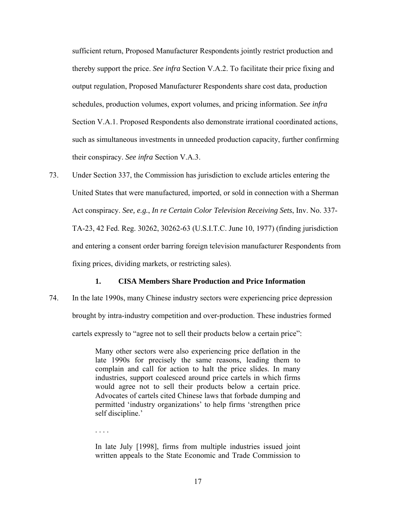sufficient return, Proposed Manufacturer Respondents jointly restrict production and thereby support the price. *See infra* Section V.A.2. To facilitate their price fixing and output regulation, Proposed Manufacturer Respondents share cost data, production schedules, production volumes, export volumes, and pricing information. *See infra* Section V.A.1. Proposed Respondents also demonstrate irrational coordinated actions, such as simultaneous investments in unneeded production capacity, further confirming their conspiracy. *See infra* Section V.A.3.

73. Under Section 337, the Commission has jurisdiction to exclude articles entering the United States that were manufactured, imported, or sold in connection with a Sherman Act conspiracy. *See, e.g.*, *In re Certain Color Television Receiving Sets*, Inv. No. 337- TA-23, 42 Fed. Reg. 30262, 30262-63 (U.S.I.T.C. June 10, 1977) (finding jurisdiction and entering a consent order barring foreign television manufacturer Respondents from fixing prices, dividing markets, or restricting sales).

#### **1. CISA Members Share Production and Price Information**

74. In the late 1990s, many Chinese industry sectors were experiencing price depression brought by intra-industry competition and over-production. These industries formed cartels expressly to "agree not to sell their products below a certain price":

> Many other sectors were also experiencing price deflation in the late 1990s for precisely the same reasons, leading them to complain and call for action to halt the price slides. In many industries, support coalesced around price cartels in which firms would agree not to sell their products below a certain price. Advocates of cartels cited Chinese laws that forbade dumping and permitted 'industry organizations' to help firms 'strengthen price self discipline.'

. . . .

In late July [1998], firms from multiple industries issued joint written appeals to the State Economic and Trade Commission to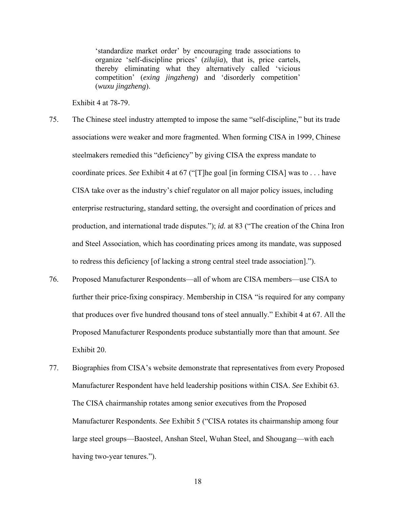'standardize market order' by encouraging trade associations to organize 'self-discipline prices' (*zilujia*), that is, price cartels, thereby eliminating what they alternatively called 'vicious competition' (*exing jingzheng*) and 'disorderly competition' (*wuxu jingzheng*).

Exhibit 4 at 78-79.

- 75. The Chinese steel industry attempted to impose the same "self-discipline," but its trade associations were weaker and more fragmented. When forming CISA in 1999, Chinese steelmakers remedied this "deficiency" by giving CISA the express mandate to coordinate prices. *See* Exhibit 4 at 67 ("[T]he goal [in forming CISA] was to . . . have CISA take over as the industry's chief regulator on all major policy issues, including enterprise restructuring, standard setting, the oversight and coordination of prices and production, and international trade disputes."); *id.* at 83 ("The creation of the China Iron and Steel Association, which has coordinating prices among its mandate, was supposed to redress this deficiency [of lacking a strong central steel trade association].").
- 76. Proposed Manufacturer Respondents—all of whom are CISA members—use CISA to further their price-fixing conspiracy. Membership in CISA "is required for any company that produces over five hundred thousand tons of steel annually." Exhibit 4 at 67. All the Proposed Manufacturer Respondents produce substantially more than that amount. *See*  Exhibit 20.
- 77. Biographies from CISA's website demonstrate that representatives from every Proposed Manufacturer Respondent have held leadership positions within CISA. *See* Exhibit 63. The CISA chairmanship rotates among senior executives from the Proposed Manufacturer Respondents. *See* Exhibit 5 ("CISA rotates its chairmanship among four large steel groups—Baosteel, Anshan Steel, Wuhan Steel, and Shougang—with each having two-year tenures.").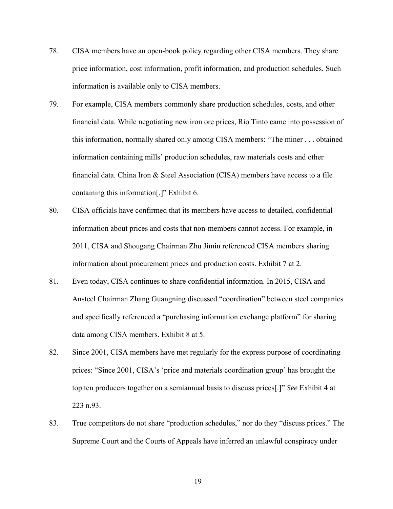- 78. CISA members have an open-book policy regarding other CISA members. They share price information, cost information, profit information, and production schedules. Such information is available only to CISA members.
- 79. For example, CISA members commonly share production schedules, costs, and other financial data. While negotiating new iron ore prices, Rio Tinto came into possession of this information, normally shared only among CISA members: "The miner . . . obtained information containing mills' production schedules, raw materials costs and other financial data. China Iron & Steel Association (CISA) members have access to a file containing this information[.]" Exhibit 6.
- 80. CISA officials have confirmed that its members have access to detailed, confidential information about prices and costs that non-members cannot access. For example, in 2011, CISA and Shougang Chairman Zhu Jimin referenced CISA members sharing information about procurement prices and production costs. Exhibit 7 at 2.
- 81. Even today, CISA continues to share confidential information. In 2015, CISA and Ansteel Chairman Zhang Guangning discussed "coordination" between steel companies and specifically referenced a "purchasing information exchange platform" for sharing data among CISA members. Exhibit 8 at 5.
- 82. Since 2001, CISA members have met regularly for the express purpose of coordinating prices: "Since 2001, CISA's 'price and materials coordination group' has brought the top ten producers together on a semiannual basis to discuss prices[.]" *See* Exhibit 4 at 223 n.93.
- 83. True competitors do not share "production schedules," nor do they "discuss prices." The Supreme Court and the Courts of Appeals have inferred an unlawful conspiracy under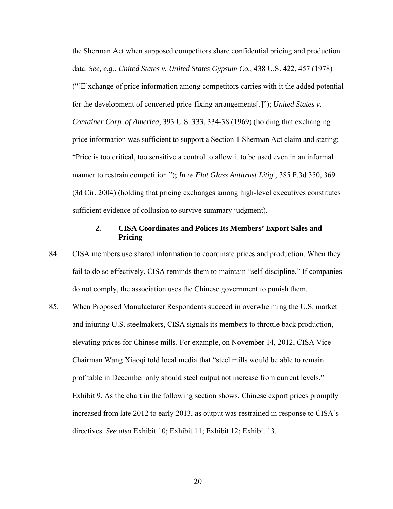the Sherman Act when supposed competitors share confidential pricing and production data. *See, e.g.*, *United States v. United States Gypsum Co.*, 438 U.S. 422, 457 (1978) ("[E]xchange of price information among competitors carries with it the added potential for the development of concerted price-fixing arrangements[.]"); *United States v. Container Corp. of America*, 393 U.S. 333, 334-38 (1969) (holding that exchanging price information was sufficient to support a Section 1 Sherman Act claim and stating: "Price is too critical, too sensitive a control to allow it to be used even in an informal manner to restrain competition."); *In re Flat Glass Antitrust Litig.*, 385 F.3d 350, 369 (3d Cir. 2004) (holding that pricing exchanges among high-level executives constitutes sufficient evidence of collusion to survive summary judgment).

## **2. CISA Coordinates and Polices Its Members' Export Sales and Pricing**

- 84. CISA members use shared information to coordinate prices and production. When they fail to do so effectively, CISA reminds them to maintain "self-discipline." If companies do not comply, the association uses the Chinese government to punish them.
- 85. When Proposed Manufacturer Respondents succeed in overwhelming the U.S. market and injuring U.S. steelmakers, CISA signals its members to throttle back production, elevating prices for Chinese mills. For example, on November 14, 2012, CISA Vice Chairman Wang Xiaoqi told local media that "steel mills would be able to remain profitable in December only should steel output not increase from current levels." Exhibit 9. As the chart in the following section shows, Chinese export prices promptly increased from late 2012 to early 2013, as output was restrained in response to CISA's directives. *See also* Exhibit 10; Exhibit 11; Exhibit 12; Exhibit 13.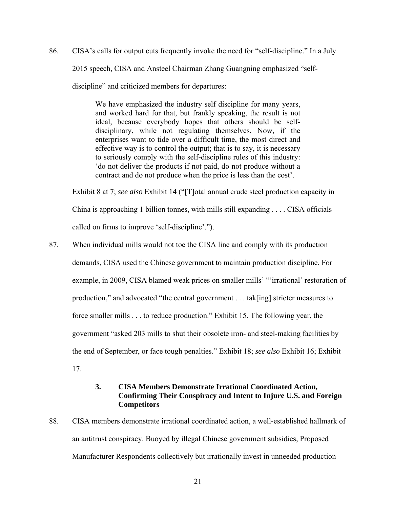86. CISA's calls for output cuts frequently invoke the need for "self-discipline." In a July 2015 speech, CISA and Ansteel Chairman Zhang Guangning emphasized "selfdiscipline" and criticized members for departures:

> We have emphasized the industry self discipline for many years, and worked hard for that, but frankly speaking, the result is not ideal, because everybody hopes that others should be selfdisciplinary, while not regulating themselves. Now, if the enterprises want to tide over a difficult time, the most direct and effective way is to control the output; that is to say, it is necessary to seriously comply with the self-discipline rules of this industry: 'do not deliver the products if not paid, do not produce without a contract and do not produce when the price is less than the cost'.

Exhibit 8 at 7; *see also* Exhibit 14 ("[T]otal annual crude steel production capacity in

China is approaching 1 billion tonnes, with mills still expanding . . . . CISA officials called on firms to improve 'self-discipline'.").

87. When individual mills would not toe the CISA line and comply with its production demands, CISA used the Chinese government to maintain production discipline. For example, in 2009, CISA blamed weak prices on smaller mills' "'irrational' restoration of production," and advocated "the central government . . . tak[ing] stricter measures to force smaller mills . . . to reduce production." Exhibit 15. The following year, the government "asked 203 mills to shut their obsolete iron- and steel-making facilities by the end of September, or face tough penalties." Exhibit 18; *see also* Exhibit 16; Exhibit 17.

## **3. CISA Members Demonstrate Irrational Coordinated Action, Confirming Their Conspiracy and Intent to Injure U.S. and Foreign Competitors**

88. CISA members demonstrate irrational coordinated action, a well-established hallmark of an antitrust conspiracy. Buoyed by illegal Chinese government subsidies, Proposed Manufacturer Respondents collectively but irrationally invest in unneeded production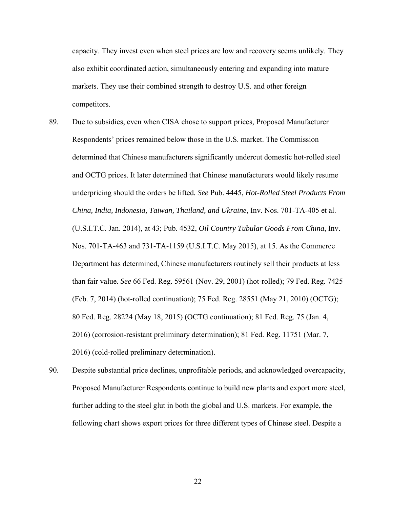capacity. They invest even when steel prices are low and recovery seems unlikely. They also exhibit coordinated action, simultaneously entering and expanding into mature markets. They use their combined strength to destroy U.S. and other foreign competitors.

- 89. Due to subsidies, even when CISA chose to support prices, Proposed Manufacturer Respondents' prices remained below those in the U.S. market. The Commission determined that Chinese manufacturers significantly undercut domestic hot-rolled steel and OCTG prices. It later determined that Chinese manufacturers would likely resume underpricing should the orders be lifted*. See* Pub. 4445, *Hot-Rolled Steel Products From China, India, Indonesia, Taiwan, Thailand, and Ukraine*, Inv. Nos. 701-TA-405 et al. (U.S.I.T.C. Jan. 2014), at 43; Pub. 4532, *Oil Country Tubular Goods From China*, Inv. Nos. 701-TA-463 and 731-TA-1159 (U.S.I.T.C. May 2015), at 15. As the Commerce Department has determined, Chinese manufacturers routinely sell their products at less than fair value. *See* 66 Fed. Reg. 59561 (Nov. 29, 2001) (hot-rolled); 79 Fed. Reg. 7425 (Feb. 7, 2014) (hot-rolled continuation); 75 Fed. Reg. 28551 (May 21, 2010) (OCTG); 80 Fed. Reg. 28224 (May 18, 2015) (OCTG continuation); 81 Fed. Reg. 75 (Jan. 4, 2016) (corrosion-resistant preliminary determination); 81 Fed. Reg. 11751 (Mar. 7, 2016) (cold-rolled preliminary determination).
- 90. Despite substantial price declines, unprofitable periods, and acknowledged overcapacity, Proposed Manufacturer Respondents continue to build new plants and export more steel, further adding to the steel glut in both the global and U.S. markets. For example, the following chart shows export prices for three different types of Chinese steel. Despite a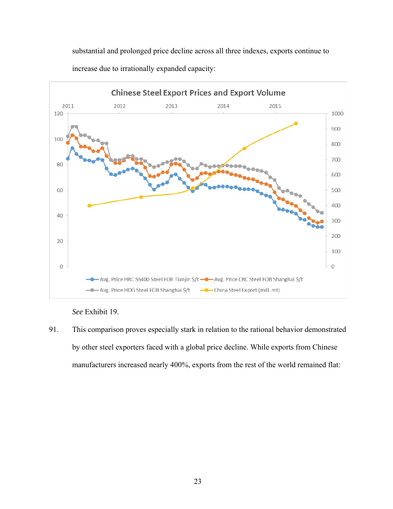substantial and prolonged price decline across all three indexes, exports continue to increase due to irrationally expanded capacity:



*See* Exhibit 19.

91. This comparison proves especially stark in relation to the rational behavior demonstrated by other steel exporters faced with a global price decline. While exports from Chinese manufacturers increased nearly 400%, exports from the rest of the world remained flat: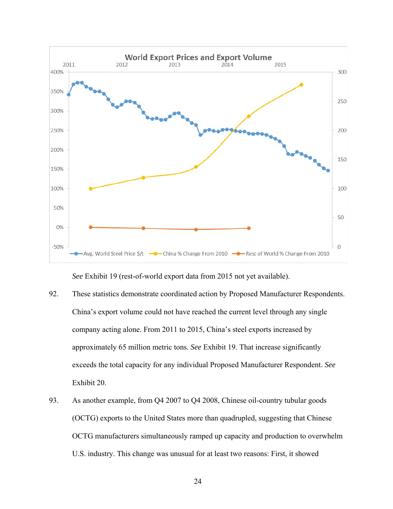

*See* Exhibit 19 (rest-of-world export data from 2015 not yet available).

- 92. These statistics demonstrate coordinated action by Proposed Manufacturer Respondents. China's export volume could not have reached the current level through any single company acting alone. From 2011 to 2015, China's steel exports increased by approximately 65 million metric tons. *See* Exhibit 19. That increase significantly exceeds the total capacity for any individual Proposed Manufacturer Respondent. *See* Exhibit 20.
- 93. As another example, from Q4 2007 to Q4 2008, Chinese oil-country tubular goods (OCTG) exports to the United States more than quadrupled, suggesting that Chinese OCTG manufacturers simultaneously ramped up capacity and production to overwhelm U.S. industry. This change was unusual for at least two reasons: First, it showed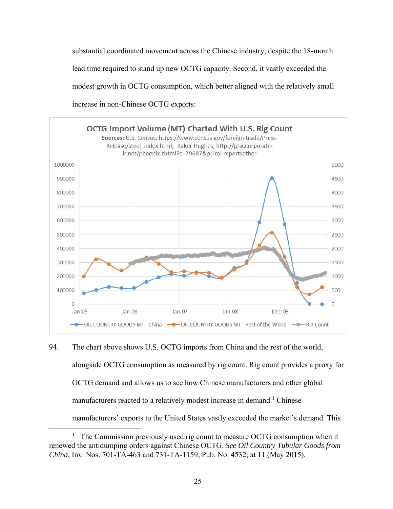substantial coordinated movement across the Chinese industry, despite the 18-month lead time required to stand up new OCTG capacity. Second, it vastly exceeded the modest growth in OCTG consumption, which better aligned with the relatively small increase in non-Chinese OCTG exports:



94. The chart above shows U.S. OCTG imports from China and the rest of the world, alongside OCTG consumption as measured by rig count. Rig count provides a proxy for OCTG demand and allows us to see how Chinese manufacturers and other global manufacturers reacted to a relatively modest increase in demand.<sup>1</sup> Chinese manufacturers' exports to the United States vastly exceeded the market's demand. This

 $\overline{1}$  $1$  The Commission previously used rig count to measure OCTG consumption when it renewed the antidumping orders against Chinese OCTG. *See Oil Country Tubular Goods from China*, Inv. Nos. 701-TA-463 and 731-TA-1159, Pub. No. 4532, at 11 (May 2015).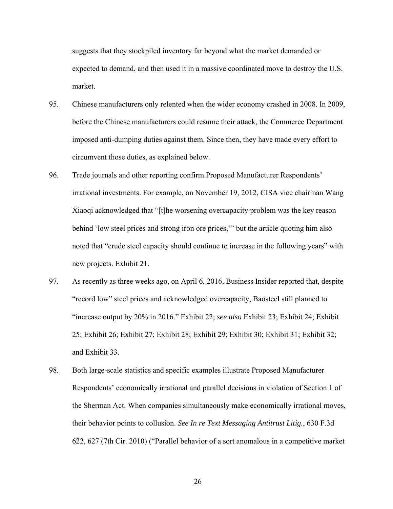suggests that they stockpiled inventory far beyond what the market demanded or expected to demand, and then used it in a massive coordinated move to destroy the U.S. market.

- 95. Chinese manufacturers only relented when the wider economy crashed in 2008. In 2009, before the Chinese manufacturers could resume their attack, the Commerce Department imposed anti-dumping duties against them. Since then, they have made every effort to circumvent those duties, as explained below.
- 96. Trade journals and other reporting confirm Proposed Manufacturer Respondents' irrational investments. For example, on November 19, 2012, CISA vice chairman Wang Xiaoqi acknowledged that "[t]he worsening overcapacity problem was the key reason behind 'low steel prices and strong iron ore prices," but the article quoting him also noted that "crude steel capacity should continue to increase in the following years" with new projects. Exhibit 21.
- 97. As recently as three weeks ago, on April 6, 2016, Business Insider reported that, despite "record low" steel prices and acknowledged overcapacity, Baosteel still planned to "increase output by 20% in 2016." Exhibit 22; *see also* Exhibit 23; Exhibit 24; Exhibit 25; Exhibit 26; Exhibit 27; Exhibit 28; Exhibit 29; Exhibit 30; Exhibit 31; Exhibit 32; and Exhibit 33.
- 98. Both large-scale statistics and specific examples illustrate Proposed Manufacturer Respondents' economically irrational and parallel decisions in violation of Section 1 of the Sherman Act. When companies simultaneously make economically irrational moves, their behavior points to collusion. *See In re Text Messaging Antitrust Litig.*, 630 F.3d 622, 627 (7th Cir. 2010) ("Parallel behavior of a sort anomalous in a competitive market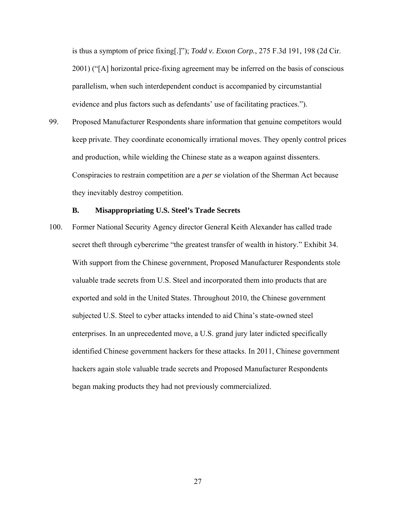is thus a symptom of price fixing[.]"); *Todd v. Exxon Corp.*, 275 F.3d 191, 198 (2d Cir. 2001) ("[A] horizontal price-fixing agreement may be inferred on the basis of conscious parallelism, when such interdependent conduct is accompanied by circumstantial evidence and plus factors such as defendants' use of facilitating practices.").

99. Proposed Manufacturer Respondents share information that genuine competitors would keep private. They coordinate economically irrational moves. They openly control prices and production, while wielding the Chinese state as a weapon against dissenters. Conspiracies to restrain competition are a *per se* violation of the Sherman Act because they inevitably destroy competition.

### **B. Misappropriating U.S. Steel's Trade Secrets**

100. Former National Security Agency director General Keith Alexander has called trade secret theft through cybercrime "the greatest transfer of wealth in history." Exhibit 34. With support from the Chinese government, Proposed Manufacturer Respondents stole valuable trade secrets from U.S. Steel and incorporated them into products that are exported and sold in the United States. Throughout 2010, the Chinese government subjected U.S. Steel to cyber attacks intended to aid China's state-owned steel enterprises. In an unprecedented move, a U.S. grand jury later indicted specifically identified Chinese government hackers for these attacks. In 2011, Chinese government hackers again stole valuable trade secrets and Proposed Manufacturer Respondents began making products they had not previously commercialized.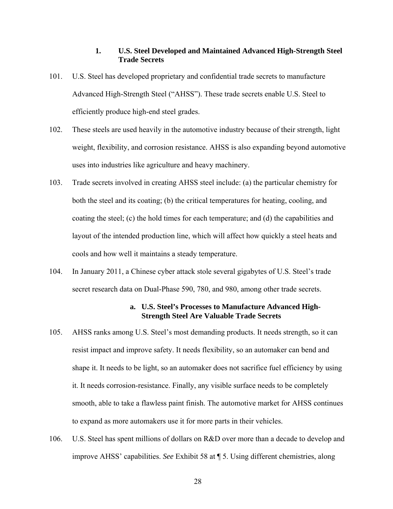## **1. U.S. Steel Developed and Maintained Advanced High-Strength Steel Trade Secrets**

- 101. U.S. Steel has developed proprietary and confidential trade secrets to manufacture Advanced High-Strength Steel ("AHSS"). These trade secrets enable U.S. Steel to efficiently produce high-end steel grades.
- 102. These steels are used heavily in the automotive industry because of their strength, light weight, flexibility, and corrosion resistance. AHSS is also expanding beyond automotive uses into industries like agriculture and heavy machinery.
- 103. Trade secrets involved in creating AHSS steel include: (a) the particular chemistry for both the steel and its coating; (b) the critical temperatures for heating, cooling, and coating the steel; (c) the hold times for each temperature; and (d) the capabilities and layout of the intended production line, which will affect how quickly a steel heats and cools and how well it maintains a steady temperature.
- 104. In January 2011, a Chinese cyber attack stole several gigabytes of U.S. Steel's trade secret research data on Dual-Phase 590, 780, and 980, among other trade secrets.

### **a. U.S. Steel's Processes to Manufacture Advanced High-Strength Steel Are Valuable Trade Secrets**

- 105. AHSS ranks among U.S. Steel's most demanding products. It needs strength, so it can resist impact and improve safety. It needs flexibility, so an automaker can bend and shape it. It needs to be light, so an automaker does not sacrifice fuel efficiency by using it. It needs corrosion-resistance. Finally, any visible surface needs to be completely smooth, able to take a flawless paint finish. The automotive market for AHSS continues to expand as more automakers use it for more parts in their vehicles.
- 106. U.S. Steel has spent millions of dollars on R&D over more than a decade to develop and improve AHSS' capabilities. *See* Exhibit 58 at ¶ 5. Using different chemistries, along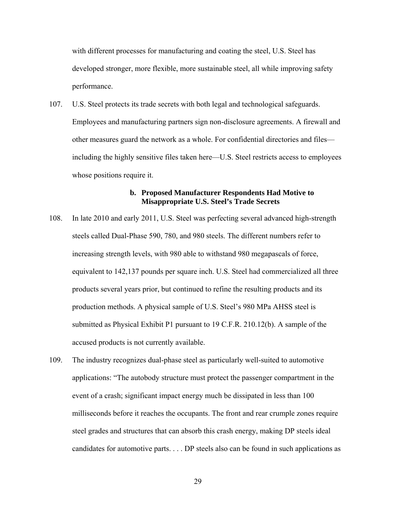with different processes for manufacturing and coating the steel, U.S. Steel has developed stronger, more flexible, more sustainable steel, all while improving safety performance.

107. U.S. Steel protects its trade secrets with both legal and technological safeguards. Employees and manufacturing partners sign non-disclosure agreements. A firewall and other measures guard the network as a whole. For confidential directories and files including the highly sensitive files taken here—U.S. Steel restricts access to employees whose positions require it.

## **b. Proposed Manufacturer Respondents Had Motive to Misappropriate U.S. Steel's Trade Secrets**

- 108. In late 2010 and early 2011, U.S. Steel was perfecting several advanced high-strength steels called Dual-Phase 590, 780, and 980 steels. The different numbers refer to increasing strength levels, with 980 able to withstand 980 megapascals of force, equivalent to 142,137 pounds per square inch. U.S. Steel had commercialized all three products several years prior, but continued to refine the resulting products and its production methods. A physical sample of U.S. Steel's 980 MPa AHSS steel is submitted as Physical Exhibit P1 pursuant to 19 C.F.R. 210.12(b). A sample of the accused products is not currently available.
- 109. The industry recognizes dual-phase steel as particularly well-suited to automotive applications: "The autobody structure must protect the passenger compartment in the event of a crash; significant impact energy much be dissipated in less than 100 milliseconds before it reaches the occupants. The front and rear crumple zones require steel grades and structures that can absorb this crash energy, making DP steels ideal candidates for automotive parts. . . . DP steels also can be found in such applications as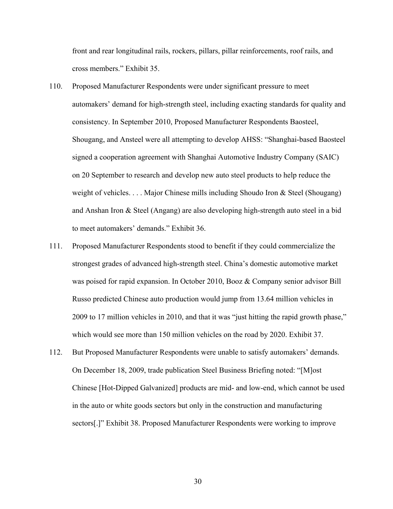front and rear longitudinal rails, rockers, pillars, pillar reinforcements, roof rails, and cross members." Exhibit 35.

- 110. Proposed Manufacturer Respondents were under significant pressure to meet automakers' demand for high-strength steel, including exacting standards for quality and consistency. In September 2010, Proposed Manufacturer Respondents Baosteel, Shougang, and Ansteel were all attempting to develop AHSS: "Shanghai-based Baosteel signed a cooperation agreement with Shanghai Automotive Industry Company (SAIC) on 20 September to research and develop new auto steel products to help reduce the weight of vehicles. . . . Major Chinese mills including Shoudo Iron & Steel (Shougang) and Anshan Iron & Steel (Angang) are also developing high-strength auto steel in a bid to meet automakers' demands." Exhibit 36.
- 111. Proposed Manufacturer Respondents stood to benefit if they could commercialize the strongest grades of advanced high-strength steel. China's domestic automotive market was poised for rapid expansion. In October 2010, Booz & Company senior advisor Bill Russo predicted Chinese auto production would jump from 13.64 million vehicles in 2009 to 17 million vehicles in 2010, and that it was "just hitting the rapid growth phase," which would see more than 150 million vehicles on the road by 2020. Exhibit 37.
- 112. But Proposed Manufacturer Respondents were unable to satisfy automakers' demands. On December 18, 2009, trade publication Steel Business Briefing noted: "[M]ost Chinese [Hot-Dipped Galvanized] products are mid- and low-end, which cannot be used in the auto or white goods sectors but only in the construction and manufacturing sectors[.]" Exhibit 38. Proposed Manufacturer Respondents were working to improve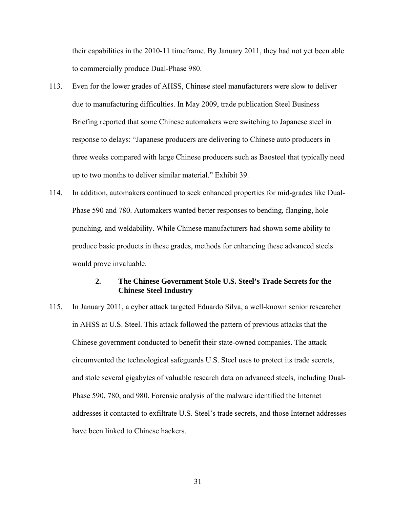their capabilities in the 2010-11 timeframe. By January 2011, they had not yet been able to commercially produce Dual-Phase 980.

- 113. Even for the lower grades of AHSS, Chinese steel manufacturers were slow to deliver due to manufacturing difficulties. In May 2009, trade publication Steel Business Briefing reported that some Chinese automakers were switching to Japanese steel in response to delays: "Japanese producers are delivering to Chinese auto producers in three weeks compared with large Chinese producers such as Baosteel that typically need up to two months to deliver similar material." Exhibit 39.
- 114. In addition, automakers continued to seek enhanced properties for mid-grades like Dual-Phase 590 and 780. Automakers wanted better responses to bending, flanging, hole punching, and weldability. While Chinese manufacturers had shown some ability to produce basic products in these grades, methods for enhancing these advanced steels would prove invaluable.

## **2. The Chinese Government Stole U.S. Steel's Trade Secrets for the Chinese Steel Industry**

115. In January 2011, a cyber attack targeted Eduardo Silva, a well-known senior researcher in AHSS at U.S. Steel. This attack followed the pattern of previous attacks that the Chinese government conducted to benefit their state-owned companies. The attack circumvented the technological safeguards U.S. Steel uses to protect its trade secrets, and stole several gigabytes of valuable research data on advanced steels, including Dual-Phase 590, 780, and 980. Forensic analysis of the malware identified the Internet addresses it contacted to exfiltrate U.S. Steel's trade secrets, and those Internet addresses have been linked to Chinese hackers.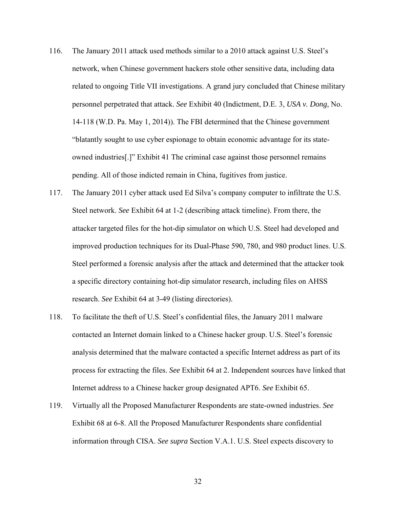- 116. The January 2011 attack used methods similar to a 2010 attack against U.S. Steel's network, when Chinese government hackers stole other sensitive data, including data related to ongoing Title VII investigations. A grand jury concluded that Chinese military personnel perpetrated that attack. *See* Exhibit 40 (Indictment, D.E. 3, *USA v. Dong*, No. 14-118 (W.D. Pa. May 1, 2014)). The FBI determined that the Chinese government "blatantly sought to use cyber espionage to obtain economic advantage for its stateowned industries[.]" Exhibit 41 The criminal case against those personnel remains pending. All of those indicted remain in China, fugitives from justice.
- 117. The January 2011 cyber attack used Ed Silva's company computer to infiltrate the U.S. Steel network. *See* Exhibit 64 at 1-2 (describing attack timeline). From there, the attacker targeted files for the hot-dip simulator on which U.S. Steel had developed and improved production techniques for its Dual-Phase 590, 780, and 980 product lines. U.S. Steel performed a forensic analysis after the attack and determined that the attacker took a specific directory containing hot-dip simulator research, including files on AHSS research. *See* Exhibit 64 at 3-49 (listing directories).
- 118. To facilitate the theft of U.S. Steel's confidential files, the January 2011 malware contacted an Internet domain linked to a Chinese hacker group. U.S. Steel's forensic analysis determined that the malware contacted a specific Internet address as part of its process for extracting the files. *See* Exhibit 64 at 2. Independent sources have linked that Internet address to a Chinese hacker group designated APT6. *See* Exhibit 65.
- 119. Virtually all the Proposed Manufacturer Respondents are state-owned industries. *See*  Exhibit 68 at 6-8. All the Proposed Manufacturer Respondents share confidential information through CISA. *See supra* Section V.A.1. U.S. Steel expects discovery to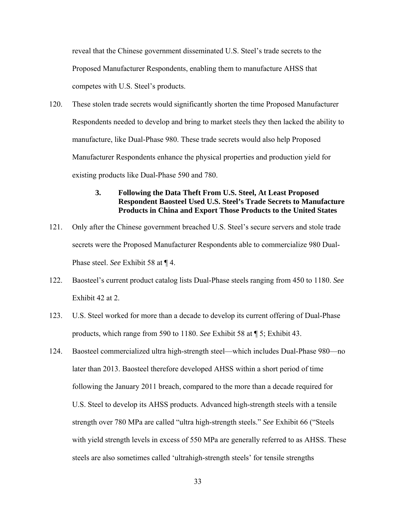reveal that the Chinese government disseminated U.S. Steel's trade secrets to the Proposed Manufacturer Respondents, enabling them to manufacture AHSS that competes with U.S. Steel's products.

120. These stolen trade secrets would significantly shorten the time Proposed Manufacturer Respondents needed to develop and bring to market steels they then lacked the ability to manufacture, like Dual-Phase 980. These trade secrets would also help Proposed Manufacturer Respondents enhance the physical properties and production yield for existing products like Dual-Phase 590 and 780.

## **3. Following the Data Theft From U.S. Steel, At Least Proposed Respondent Baosteel Used U.S. Steel's Trade Secrets to Manufacture Products in China and Export Those Products to the United States**

- 121. Only after the Chinese government breached U.S. Steel's secure servers and stole trade secrets were the Proposed Manufacturer Respondents able to commercialize 980 Dual-Phase steel. *See* Exhibit 58 at ¶ 4.
- 122. Baosteel's current product catalog lists Dual-Phase steels ranging from 450 to 1180. *See*  Exhibit 42 at 2.
- 123. U.S. Steel worked for more than a decade to develop its current offering of Dual-Phase products, which range from 590 to 1180. *See* Exhibit 58 at ¶ 5; Exhibit 43.
- 124. Baosteel commercialized ultra high-strength steel—which includes Dual-Phase 980—no later than 2013. Baosteel therefore developed AHSS within a short period of time following the January 2011 breach, compared to the more than a decade required for U.S. Steel to develop its AHSS products. Advanced high-strength steels with a tensile strength over 780 MPa are called "ultra high-strength steels." *See* Exhibit 66 ("Steels with yield strength levels in excess of 550 MPa are generally referred to as AHSS. These steels are also sometimes called 'ultrahigh-strength steels' for tensile strengths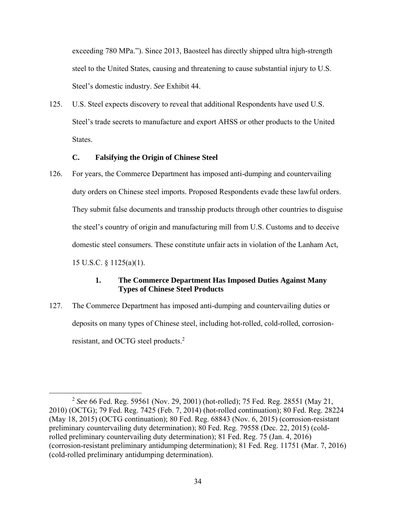exceeding 780 MPa."). Since 2013, Baosteel has directly shipped ultra high-strength steel to the United States, causing and threatening to cause substantial injury to U.S. Steel's domestic industry. *See* Exhibit 44.

125. U.S. Steel expects discovery to reveal that additional Respondents have used U.S. Steel's trade secrets to manufacture and export AHSS or other products to the United States.

# **C. Falsifying the Origin of Chinese Steel**

126. For years, the Commerce Department has imposed anti-dumping and countervailing duty orders on Chinese steel imports. Proposed Respondents evade these lawful orders. They submit false documents and transship products through other countries to disguise the steel's country of origin and manufacturing mill from U.S. Customs and to deceive domestic steel consumers. These constitute unfair acts in violation of the Lanham Act, 15 U.S.C. § 1125(a)(1).

# **1. The Commerce Department Has Imposed Duties Against Many Types of Chinese Steel Products**

127. The Commerce Department has imposed anti-dumping and countervailing duties or deposits on many types of Chinese steel, including hot-rolled, cold-rolled, corrosionresistant, and OCTG steel products.2

 <sup>2</sup> *See* 66 Fed. Reg. 59561 (Nov. 29, 2001) (hot-rolled); 75 Fed. Reg. 28551 (May 21, 2010) (OCTG); 79 Fed. Reg. 7425 (Feb. 7, 2014) (hot-rolled continuation); 80 Fed. Reg. 28224 (May 18, 2015) (OCTG continuation); 80 Fed. Reg. 68843 (Nov. 6, 2015) (corrosion-resistant preliminary countervailing duty determination); 80 Fed. Reg. 79558 (Dec. 22, 2015) (coldrolled preliminary countervailing duty determination); 81 Fed. Reg. 75 (Jan. 4, 2016) (corrosion-resistant preliminary antidumping determination); 81 Fed. Reg. 11751 (Mar. 7, 2016) (cold-rolled preliminary antidumping determination).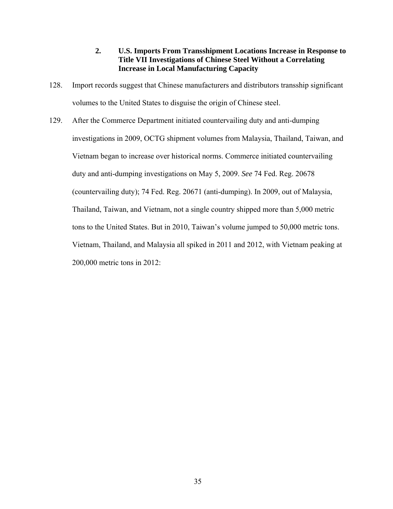## **2. U.S. Imports From Transshipment Locations Increase in Response to Title VII Investigations of Chinese Steel Without a Correlating Increase in Local Manufacturing Capacity**

- 128. Import records suggest that Chinese manufacturers and distributors transship significant volumes to the United States to disguise the origin of Chinese steel.
- 129. After the Commerce Department initiated countervailing duty and anti-dumping investigations in 2009, OCTG shipment volumes from Malaysia, Thailand, Taiwan, and Vietnam began to increase over historical norms. Commerce initiated countervailing duty and anti-dumping investigations on May 5, 2009. *See* 74 Fed. Reg. 20678 (countervailing duty); 74 Fed. Reg. 20671 (anti-dumping). In 2009, out of Malaysia, Thailand, Taiwan, and Vietnam, not a single country shipped more than 5,000 metric tons to the United States. But in 2010, Taiwan's volume jumped to 50,000 metric tons. Vietnam, Thailand, and Malaysia all spiked in 2011 and 2012, with Vietnam peaking at 200,000 metric tons in 2012: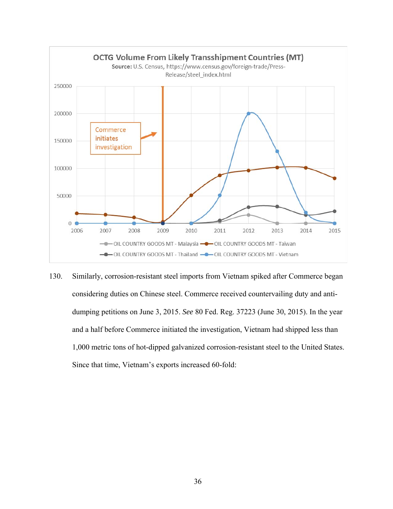

130. Similarly, corrosion-resistant steel imports from Vietnam spiked after Commerce began considering duties on Chinese steel. Commerce received countervailing duty and antidumping petitions on June 3, 2015. *See* 80 Fed. Reg. 37223 (June 30, 2015). In the year and a half before Commerce initiated the investigation, Vietnam had shipped less than 1,000 metric tons of hot-dipped galvanized corrosion-resistant steel to the United States. Since that time, Vietnam's exports increased 60-fold: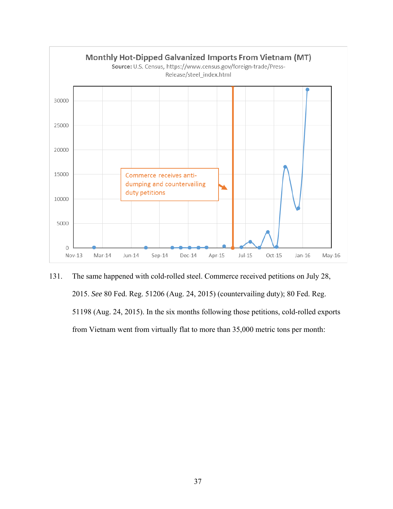

131. The same happened with cold-rolled steel. Commerce received petitions on July 28, 2015. *See* 80 Fed. Reg. 51206 (Aug. 24, 2015) (countervailing duty); 80 Fed. Reg. 51198 (Aug. 24, 2015). In the six months following those petitions, cold-rolled exports from Vietnam went from virtually flat to more than 35,000 metric tons per month: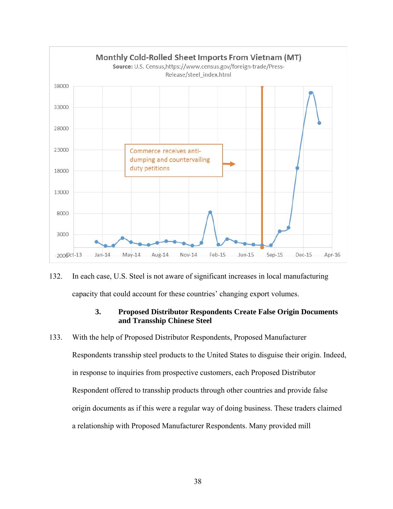

132. In each case, U.S. Steel is not aware of significant increases in local manufacturing capacity that could account for these countries' changing export volumes.

# **3. Proposed Distributor Respondents Create False Origin Documents and Transship Chinese Steel**

133. With the help of Proposed Distributor Respondents, Proposed Manufacturer Respondents transship steel products to the United States to disguise their origin. Indeed, in response to inquiries from prospective customers, each Proposed Distributor Respondent offered to transship products through other countries and provide false origin documents as if this were a regular way of doing business. These traders claimed a relationship with Proposed Manufacturer Respondents. Many provided mill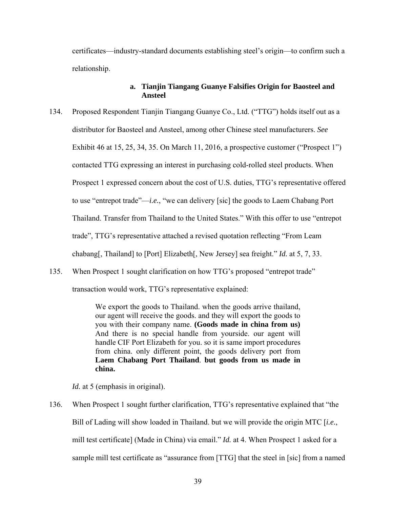certificates—industry-standard documents establishing steel's origin—to confirm such a relationship.

## **a. Tianjin Tiangang Guanye Falsifies Origin for Baosteel and Ansteel**

- 134. Proposed Respondent Tianjin Tiangang Guanye Co., Ltd. ("TTG") holds itself out as a distributor for Baosteel and Ansteel, among other Chinese steel manufacturers. *See*  Exhibit 46 at 15, 25, 34, 35. On March 11, 2016, a prospective customer ("Prospect 1") contacted TTG expressing an interest in purchasing cold-rolled steel products. When Prospect 1 expressed concern about the cost of U.S. duties, TTG's representative offered to use "entrepot trade"—*i.e.*, "we can delivery [sic] the goods to Laem Chabang Port Thailand. Transfer from Thailand to the United States." With this offer to use "entrepot trade", TTG's representative attached a revised quotation reflecting "From Leam chabang[, Thailand] to [Port] Elizabeth[, New Jersey] sea freight." *Id.* at 5, 7, 33.
- 135. When Prospect 1 sought clarification on how TTG's proposed "entrepot trade"

transaction would work, TTG's representative explained:

We export the goods to Thailand. when the goods arrive thailand, our agent will receive the goods. and they will export the goods to you with their company name. **(Goods made in china from us)** And there is no special handle from yourside. our agent will handle CIF Port Elizabeth for you. so it is same import procedures from china. only different point, the goods delivery port from **Laem Chabang Port Thailand**. **but goods from us made in china.**

*Id.* at 5 (emphasis in original).

136. When Prospect 1 sought further clarification, TTG's representative explained that "the Bill of Lading will show loaded in Thailand. but we will provide the origin MTC [*i.e.*, mill test certificate] (Made in China) via email." *Id.* at 4. When Prospect 1 asked for a sample mill test certificate as "assurance from [TTG] that the steel in [sic] from a named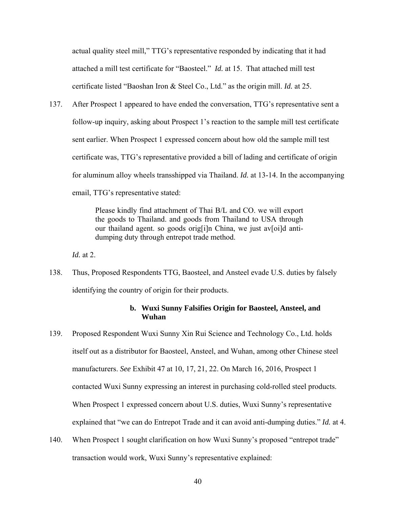actual quality steel mill," TTG's representative responded by indicating that it had attached a mill test certificate for "Baosteel." *Id.* at 15. That attached mill test certificate listed "Baoshan Iron & Steel Co., Ltd." as the origin mill. *Id.* at 25.

137. After Prospect 1 appeared to have ended the conversation, TTG's representative sent a follow-up inquiry, asking about Prospect 1's reaction to the sample mill test certificate sent earlier. When Prospect 1 expressed concern about how old the sample mill test certificate was, TTG's representative provided a bill of lading and certificate of origin for aluminum alloy wheels transshipped via Thailand. *Id.* at 13-14. In the accompanying email, TTG's representative stated:

> Please kindly find attachment of Thai B/L and CO. we will export the goods to Thailand. and goods from Thailand to USA through our thailand agent. so goods orig[i]n China, we just av[oi]d antidumping duty through entrepot trade method.

*Id.* at 2.

138. Thus, Proposed Respondents TTG, Baosteel, and Ansteel evade U.S. duties by falsely identifying the country of origin for their products.

## **b. Wuxi Sunny Falsifies Origin for Baosteel, Ansteel, and Wuhan**

- 139. Proposed Respondent Wuxi Sunny Xin Rui Science and Technology Co., Ltd. holds itself out as a distributor for Baosteel, Ansteel, and Wuhan, among other Chinese steel manufacturers. *See* Exhibit 47 at 10, 17, 21, 22. On March 16, 2016, Prospect 1 contacted Wuxi Sunny expressing an interest in purchasing cold-rolled steel products. When Prospect 1 expressed concern about U.S. duties, Wuxi Sunny's representative explained that "we can do Entrepot Trade and it can avoid anti-dumping duties." *Id.* at 4.
- 140. When Prospect 1 sought clarification on how Wuxi Sunny's proposed "entrepot trade" transaction would work, Wuxi Sunny's representative explained: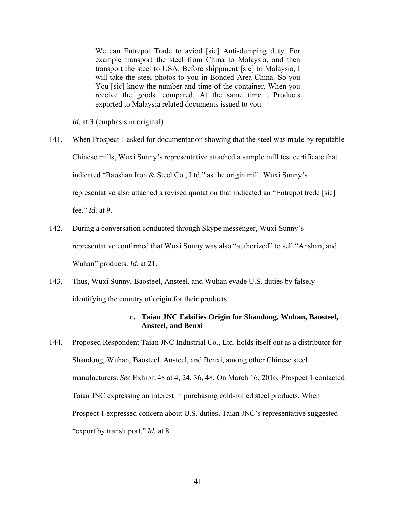We can Entrepot Trade to aviod [sic] Anti-dumping duty. For example transport the steel from China to Malaysia, and then transport the steel to USA. Before shippment [sic] to Malaysia, I will take the steel photos to you in Bonded Area China. So you You [sic] know the number and time of the container. When you receive the goods, compared. At the same time , Products exported to Malaysia related documents issued to you.

*Id.* at 3 (emphasis in original).

- 141. When Prospect 1 asked for documentation showing that the steel was made by reputable Chinese mills, Wuxi Sunny's representative attached a sample mill test certificate that indicated "Baoshan Iron & Steel Co., Ltd." as the origin mill. Wuxi Sunny's representative also attached a revised quotation that indicated an "Entrepot trede [sic] fee." *Id.* at 9.
- 142. During a conversation conducted through Skype messenger, Wuxi Sunny's representative confirmed that Wuxi Sunny was also "authorized" to sell "Anshan, and Wuhan" products. *Id.* at 21.
- 143. Thus, Wuxi Sunny, Baosteel, Ansteel, and Wuhan evade U.S. duties by falsely identifying the country of origin for their products.

# **c. Taian JNC Falsifies Origin for Shandong, Wuhan, Baosteel, Ansteel, and Benxi**

144. Proposed Respondent Taian JNC Industrial Co., Ltd. holds itself out as a distributor for Shandong, Wuhan, Baosteel, Ansteel, and Benxi, among other Chinese steel manufacturers. *See* Exhibit 48 at 4, 24, 36, 48. On March 16, 2016, Prospect 1 contacted Taian JNC expressing an interest in purchasing cold-rolled steel products. When Prospect 1 expressed concern about U.S. duties, Taian JNC's representative suggested "export by transit port." *Id.* at 8.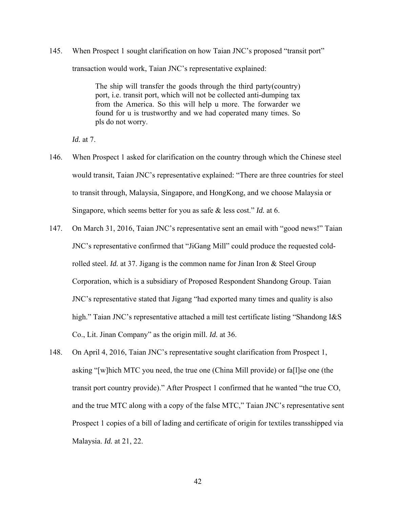145. When Prospect 1 sought clarification on how Taian JNC's proposed "transit port" transaction would work, Taian JNC's representative explained:

> The ship will transfer the goods through the third party(country) port, i.e. transit port, which will not be collected anti-dumping tax from the America. So this will help u more. The forwarder we found for u is trustworthy and we had coperated many times. So pls do not worry.

*Id.* at 7.

- 146. When Prospect 1 asked for clarification on the country through which the Chinese steel would transit, Taian JNC's representative explained: "There are three countries for steel to transit through, Malaysia, Singapore, and HongKong, and we choose Malaysia or Singapore, which seems better for you as safe & less cost." *Id.* at 6.
- 147. On March 31, 2016, Taian JNC's representative sent an email with "good news!" Taian JNC's representative confirmed that "JiGang Mill" could produce the requested coldrolled steel. *Id.* at 37. Jigang is the common name for Jinan Iron & Steel Group Corporation, which is a subsidiary of Proposed Respondent Shandong Group. Taian JNC's representative stated that Jigang "had exported many times and quality is also high." Taian JNC's representative attached a mill test certificate listing "Shandong I&S" Co., Lit. Jinan Company" as the origin mill. *Id.* at 36.
- 148. On April 4, 2016, Taian JNC's representative sought clarification from Prospect 1, asking "[w]hich MTC you need, the true one (China Mill provide) or fa[l]se one (the transit port country provide)." After Prospect 1 confirmed that he wanted "the true CO, and the true MTC along with a copy of the false MTC," Taian JNC's representative sent Prospect 1 copies of a bill of lading and certificate of origin for textiles transshipped via Malaysia. *Id.* at 21, 22.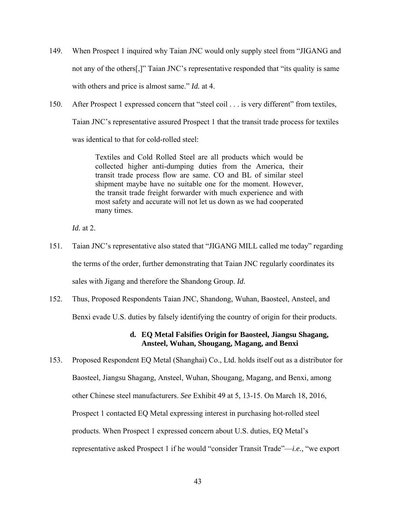- 149. When Prospect 1 inquired why Taian JNC would only supply steel from "JIGANG and not any of the others[,]" Taian JNC's representative responded that "its quality is same with others and price is almost same." *Id.* at 4.
- 150. After Prospect 1 expressed concern that "steel coil . . . is very different" from textiles, Taian JNC's representative assured Prospect 1 that the transit trade process for textiles was identical to that for cold-rolled steel:

Textiles and Cold Rolled Steel are all products which would be collected higher anti-dumping duties from the America, their transit trade process flow are same. CO and BL of similar steel shipment maybe have no suitable one for the moment. However, the transit trade freight forwarder with much experience and with most safety and accurate will not let us down as we had cooperated many times.

*Id.* at 2.

- 151. Taian JNC's representative also stated that "JIGANG MILL called me today" regarding the terms of the order, further demonstrating that Taian JNC regularly coordinates its sales with Jigang and therefore the Shandong Group. *Id.*
- 152. Thus, Proposed Respondents Taian JNC, Shandong, Wuhan, Baosteel, Ansteel, and Benxi evade U.S. duties by falsely identifying the country of origin for their products.

## **d. EQ Metal Falsifies Origin for Baosteel, Jiangsu Shagang, Ansteel, Wuhan, Shougang, Magang, and Benxi**

153. Proposed Respondent EQ Metal (Shanghai) Co., Ltd. holds itself out as a distributor for Baosteel, Jiangsu Shagang, Ansteel, Wuhan, Shougang, Magang, and Benxi, among other Chinese steel manufacturers. *See* Exhibit 49 at 5, 13-15. On March 18, 2016, Prospect 1 contacted EQ Metal expressing interest in purchasing hot-rolled steel products. When Prospect 1 expressed concern about U.S. duties, EQ Metal's representative asked Prospect 1 if he would "consider Transit Trade"—*i.e.*, "we export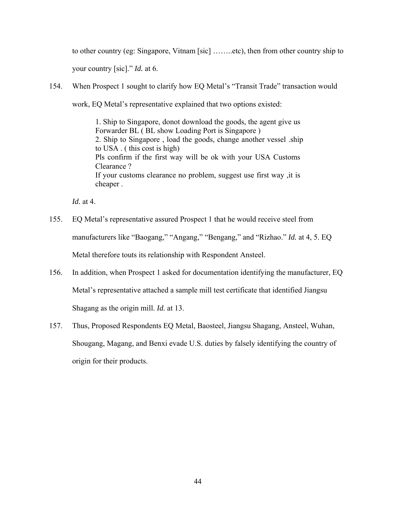to other country (eg: Singapore, Vitnam [sic] ……..etc), then from other country ship to your country [sic]." *Id.* at 6.

154. When Prospect 1 sought to clarify how EQ Metal's "Transit Trade" transaction would work, EQ Metal's representative explained that two options existed:

> 1. Ship to Singapore, donot download the goods, the agent give us Forwarder BL ( BL show Loading Port is Singapore ) 2. Ship to Singapore , load the goods, change another vessel .ship to USA . ( this cost is high) Pls confirm if the first way will be ok with your USA Customs Clearance ? If your customs clearance no problem, suggest use first way ,it is cheaper .

*Id.* at 4.

- 155. EQ Metal's representative assured Prospect 1 that he would receive steel from manufacturers like "Baogang," "Angang," "Bengang," and "Rizhao." *Id.* at 4, 5. EQ Metal therefore touts its relationship with Respondent Ansteel.
- 156. In addition, when Prospect 1 asked for documentation identifying the manufacturer, EQ Metal's representative attached a sample mill test certificate that identified Jiangsu Shagang as the origin mill. *Id.* at 13.
- 157. Thus, Proposed Respondents EQ Metal, Baosteel, Jiangsu Shagang, Ansteel, Wuhan, Shougang, Magang, and Benxi evade U.S. duties by falsely identifying the country of origin for their products.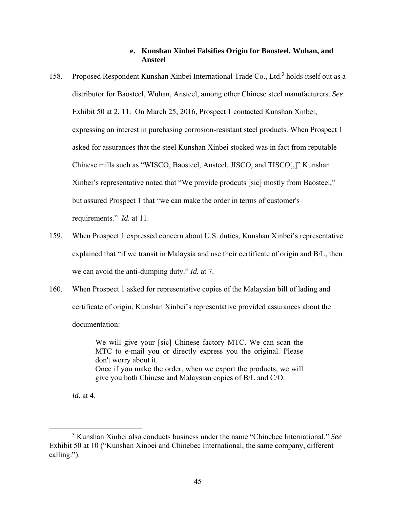## **e. Kunshan Xinbei Falsifies Origin for Baosteel, Wuhan, and Ansteel**

- 158. Proposed Respondent Kunshan Xinbei International Trade Co., Ltd.<sup>3</sup> holds itself out as a distributor for Baosteel, Wuhan, Ansteel, among other Chinese steel manufacturers. *See*  Exhibit 50 at 2, 11. On March 25, 2016, Prospect 1 contacted Kunshan Xinbei, expressing an interest in purchasing corrosion-resistant steel products. When Prospect 1 asked for assurances that the steel Kunshan Xinbei stocked was in fact from reputable Chinese mills such as "WISCO, Baosteel, Ansteel, JISCO, and TISCO[,]" Kunshan Xinbei's representative noted that "We provide prodcuts [sic] mostly from Baosteel," but assured Prospect 1 that "we can make the order in terms of customer's requirements." *Id.* at 11.
- 159. When Prospect 1 expressed concern about U.S. duties, Kunshan Xinbei's representative explained that "if we transit in Malaysia and use their certificate of origin and B/L, then we can avoid the anti-dumping duty." *Id.* at 7.
- 160. When Prospect 1 asked for representative copies of the Malaysian bill of lading and certificate of origin, Kunshan Xinbei's representative provided assurances about the documentation:

We will give your [sic] Chinese factory MTC. We can scan the MTC to e-mail you or directly express you the original. Please don't worry about it. Once if you make the order, when we export the products, we will give you both Chinese and Malaysian copies of B/L and C/O.

*Id.* at 4.

 $\frac{1}{3}$  Kunshan Xinbei also conducts business under the name "Chinebec International." *See* Exhibit 50 at 10 ("Kunshan Xinbei and Chinebec International, the same company, different calling.").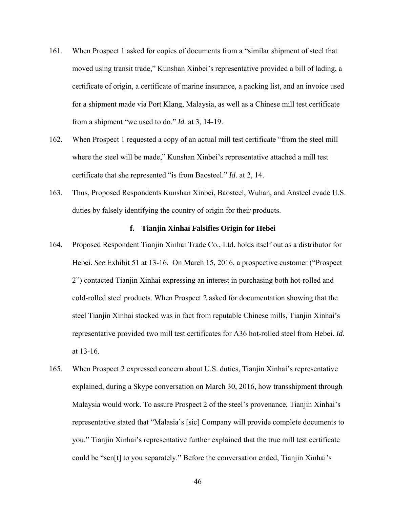- 161. When Prospect 1 asked for copies of documents from a "similar shipment of steel that moved using transit trade," Kunshan Xinbei's representative provided a bill of lading, a certificate of origin, a certificate of marine insurance, a packing list, and an invoice used for a shipment made via Port Klang, Malaysia, as well as a Chinese mill test certificate from a shipment "we used to do." *Id.* at 3, 14-19.
- 162. When Prospect 1 requested a copy of an actual mill test certificate "from the steel mill where the steel will be made," Kunshan Xinbei's representative attached a mill test certificate that she represented "is from Baosteel." *Id.* at 2, 14.
- 163. Thus, Proposed Respondents Kunshan Xinbei, Baosteel, Wuhan, and Ansteel evade U.S. duties by falsely identifying the country of origin for their products.

#### **f. Tianjin Xinhai Falsifies Origin for Hebei**

- 164. Proposed Respondent Tianjin Xinhai Trade Co., Ltd. holds itself out as a distributor for Hebei. *See* Exhibit 51 at 13-16. On March 15, 2016, a prospective customer ("Prospect 2") contacted Tianjin Xinhai expressing an interest in purchasing both hot-rolled and cold-rolled steel products. When Prospect 2 asked for documentation showing that the steel Tianjin Xinhai stocked was in fact from reputable Chinese mills, Tianjin Xinhai's representative provided two mill test certificates for A36 hot-rolled steel from Hebei. *Id.* at 13-16.
- 165. When Prospect 2 expressed concern about U.S. duties, Tianjin Xinhai's representative explained, during a Skype conversation on March 30, 2016, how transshipment through Malaysia would work. To assure Prospect 2 of the steel's provenance, Tianjin Xinhai's representative stated that "Malasia's [sic] Company will provide complete documents to you." Tianjin Xinhai's representative further explained that the true mill test certificate could be "sen[t] to you separately." Before the conversation ended, Tianjin Xinhai's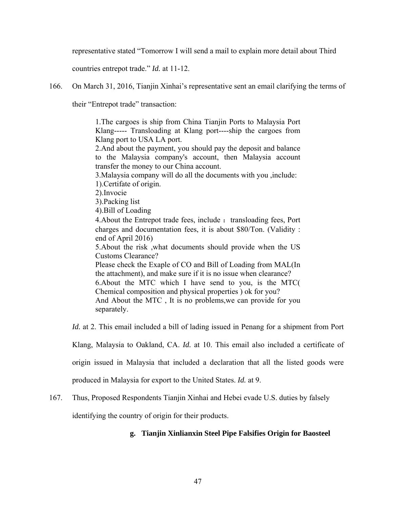representative stated "Tomorrow I will send a mail to explain more detail about Third

countries entrepot trade." *Id.* at 11-12.

166. On March 31, 2016, Tianjin Xinhai's representative sent an email clarifying the terms of

their "Entrepot trade" transaction:

1.The cargoes is ship from China Tianjin Ports to Malaysia Port Klang----- Transloading at Klang port----ship the cargoes from Klang port to USA LA port.

2.And about the payment, you should pay the deposit and balance to the Malaysia company's account, then Malaysia account transfer the money to our China account.

3.Malaysia company will do all the documents with you ,include:

1).Certifate of origin.

2).Invocie

3).Packing list

4).Bill of Loading

4. About the Entrepot trade fees, include : transloading fees, Port charges and documentation fees, it is about \$80/Ton. (Validity : end of April 2016)

5.About the risk ,what documents should provide when the US Customs Clearance?

Please check the Exaple of CO and Bill of Loading from MAL(In the attachment), and make sure if it is no issue when clearance?

6.About the MTC which I have send to you, is the MTC( Chemical composition and physical properties ) ok for you? And About the MTC , It is no problems,we can provide for you

separately.

*Id.* at 2. This email included a bill of lading issued in Penang for a shipment from Port

Klang, Malaysia to Oakland, CA. *Id.* at 10. This email also included a certificate of

origin issued in Malaysia that included a declaration that all the listed goods were

produced in Malaysia for export to the United States. *Id.* at 9.

167. Thus, Proposed Respondents Tianjin Xinhai and Hebei evade U.S. duties by falsely

identifying the country of origin for their products.

# **g. Tianjin Xinlianxin Steel Pipe Falsifies Origin for Baosteel**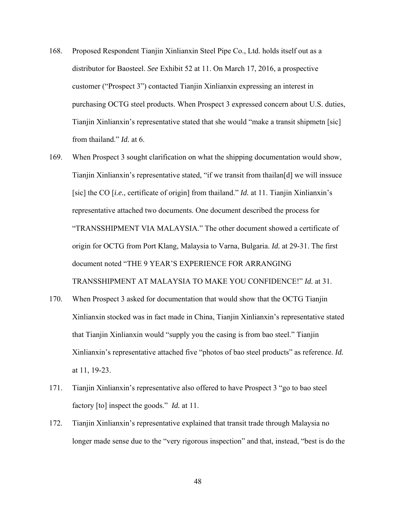- 168. Proposed Respondent Tianjin Xinlianxin Steel Pipe Co., Ltd. holds itself out as a distributor for Baosteel. *See* Exhibit 52 at 11. On March 17, 2016, a prospective customer ("Prospect 3") contacted Tianjin Xinlianxin expressing an interest in purchasing OCTG steel products. When Prospect 3 expressed concern about U.S. duties, Tianjin Xinlianxin's representative stated that she would "make a transit shipmetn [sic] from thailand." *Id.* at 6.
- 169. When Prospect 3 sought clarification on what the shipping documentation would show, Tianjin Xinlianxin's representative stated, "if we transit from thailan[d] we will inssuce [sic] the CO [*i.e.*, certificate of origin] from thailand." *Id.* at 11. Tianjin Xinlianxin's representative attached two documents. One document described the process for "TRANSSHIPMENT VIA MALAYSIA." The other document showed a certificate of origin for OCTG from Port Klang, Malaysia to Varna, Bulgaria. *Id.* at 29-31. The first document noted "THE 9 YEAR'S EXPERIENCE FOR ARRANGING TRANSSHIPMENT AT MALAYSIA TO MAKE YOU CONFIDENCE!" *Id.* at 31.
- 170. When Prospect 3 asked for documentation that would show that the OCTG Tianjin Xinlianxin stocked was in fact made in China, Tianjin Xinlianxin's representative stated that Tianjin Xinlianxin would "supply you the casing is from bao steel." Tianjin Xinlianxin's representative attached five "photos of bao steel products" as reference. *Id.* at 11, 19-23.
- 171. Tianjin Xinlianxin's representative also offered to have Prospect 3 "go to bao steel factory [to] inspect the goods." *Id.* at 11.
- 172. Tianjin Xinlianxin's representative explained that transit trade through Malaysia no longer made sense due to the "very rigorous inspection" and that, instead, "best is do the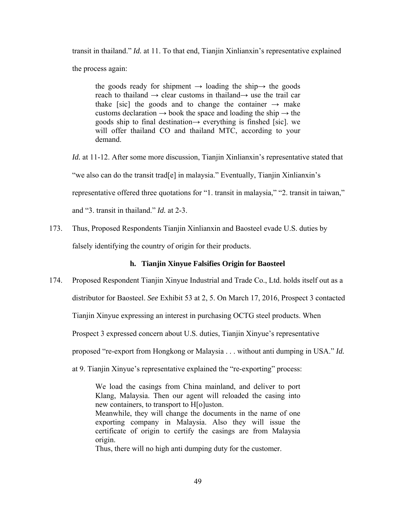transit in thailand." *Id.* at 11. To that end, Tianjin Xinlianxin's representative explained the process again:

the goods ready for shipment  $\rightarrow$  loading the ship $\rightarrow$  the goods reach to thailand  $\rightarrow$  clear customs in thailand $\rightarrow$  use the trail car thake [sic] the goods and to change the container  $\rightarrow$  make customs declaration  $\rightarrow$  book the space and loading the ship  $\rightarrow$  the goods ship to final destination→ everything is finshed [sic]. we will offer thailand CO and thailand MTC, according to your demand.

*Id.* at 11-12. After some more discussion, Tianjin Xinlianxin's representative stated that "we also can do the transit trad[e] in malaysia." Eventually, Tianjin Xinlianxin's representative offered three quotations for "1. transit in malaysia," "2. transit in taiwan," and "3. transit in thailand." *Id.* at 2-3.

173. Thus, Proposed Respondents Tianjin Xinlianxin and Baosteel evade U.S. duties by falsely identifying the country of origin for their products.

# **h. Tianjin Xinyue Falsifies Origin for Baosteel**

174. Proposed Respondent Tianjin Xinyue Industrial and Trade Co., Ltd. holds itself out as a

distributor for Baosteel. *See* Exhibit 53 at 2, 5. On March 17, 2016, Prospect 3 contacted

Tianjin Xinyue expressing an interest in purchasing OCTG steel products. When

Prospect 3 expressed concern about U.S. duties, Tianjin Xinyue's representative

proposed "re-export from Hongkong or Malaysia . . . without anti dumping in USA." *Id.*

at 9. Tianjin Xinyue's representative explained the "re-exporting" process:

We load the casings from China mainland, and deliver to port Klang, Malaysia. Then our agent will reloaded the casing into new containers, to transport to H[o]uston.

Meanwhile, they will change the documents in the name of one exporting company in Malaysia. Also they will issue the certificate of origin to certify the casings are from Malaysia origin.

Thus, there will no high anti dumping duty for the customer.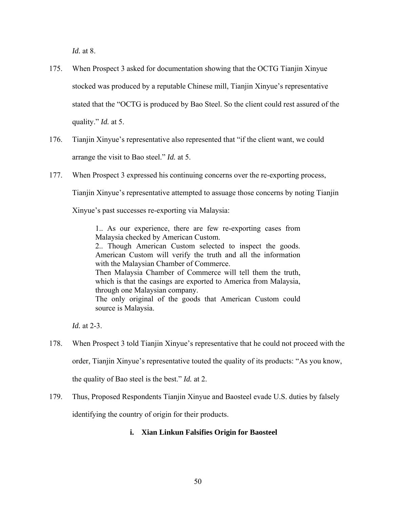*Id.* at 8.

- 175. When Prospect 3 asked for documentation showing that the OCTG Tianjin Xinyue stocked was produced by a reputable Chinese mill, Tianjin Xinyue's representative stated that the "OCTG is produced by Bao Steel. So the client could rest assured of the quality." *Id.* at 5.
- 176. Tianjin Xinyue's representative also represented that "if the client want, we could arrange the visit to Bao steel." *Id.* at 5.
- 177. When Prospect 3 expressed his continuing concerns over the re-exporting process,

Tianjin Xinyue's representative attempted to assuage those concerns by noting Tianjin

Xinyue's past successes re-exporting via Malaysia:

1.. As our experience, there are few re-exporting cases from Malaysia checked by American Custom.

2.. Though American Custom selected to inspect the goods. American Custom will verify the truth and all the information with the Malaysian Chamber of Commerce. Then Malaysia Chamber of Commerce will tell them the truth,

which is that the casings are exported to America from Malaysia, through one Malaysian company.

The only original of the goods that American Custom could source is Malaysia.

*Id.* at 2-3.

178. When Prospect 3 told Tianjin Xinyue's representative that he could not proceed with the order, Tianjin Xinyue's representative touted the quality of its products: "As you know,

the quality of Bao steel is the best." *Id.* at 2.

179. Thus, Proposed Respondents Tianjin Xinyue and Baosteel evade U.S. duties by falsely

identifying the country of origin for their products.

# **i. Xian Linkun Falsifies Origin for Baosteel**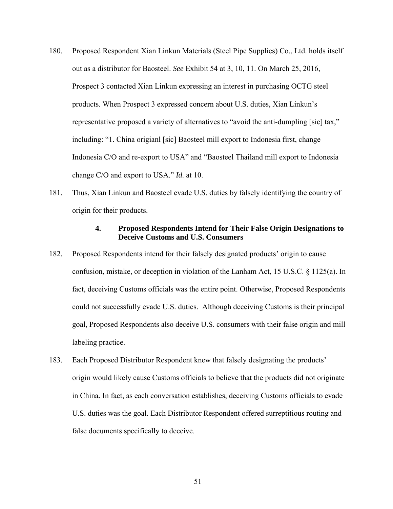- 180. Proposed Respondent Xian Linkun Materials (Steel Pipe Supplies) Co., Ltd. holds itself out as a distributor for Baosteel. *See* Exhibit 54 at 3, 10, 11. On March 25, 2016, Prospect 3 contacted Xian Linkun expressing an interest in purchasing OCTG steel products. When Prospect 3 expressed concern about U.S. duties, Xian Linkun's representative proposed a variety of alternatives to "avoid the anti-dumpling [sic] tax," including: "1. China origianl [sic] Baosteel mill export to Indonesia first, change Indonesia C/O and re-export to USA" and "Baosteel Thailand mill export to Indonesia change C/O and export to USA." *Id.* at 10.
- 181. Thus, Xian Linkun and Baosteel evade U.S. duties by falsely identifying the country of origin for their products.

## **4. Proposed Respondents Intend for Their False Origin Designations to Deceive Customs and U.S. Consumers**

- 182. Proposed Respondents intend for their falsely designated products' origin to cause confusion, mistake, or deception in violation of the Lanham Act, 15 U.S.C. § 1125(a). In fact, deceiving Customs officials was the entire point. Otherwise, Proposed Respondents could not successfully evade U.S. duties. Although deceiving Customs is their principal goal, Proposed Respondents also deceive U.S. consumers with their false origin and mill labeling practice.
- 183. Each Proposed Distributor Respondent knew that falsely designating the products' origin would likely cause Customs officials to believe that the products did not originate in China. In fact, as each conversation establishes, deceiving Customs officials to evade U.S. duties was the goal. Each Distributor Respondent offered surreptitious routing and false documents specifically to deceive.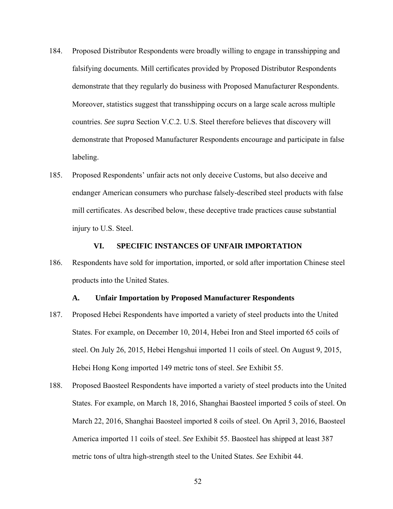- 184. Proposed Distributor Respondents were broadly willing to engage in transshipping and falsifying documents. Mill certificates provided by Proposed Distributor Respondents demonstrate that they regularly do business with Proposed Manufacturer Respondents. Moreover, statistics suggest that transshipping occurs on a large scale across multiple countries. *See supra* Section V.C.2. U.S. Steel therefore believes that discovery will demonstrate that Proposed Manufacturer Respondents encourage and participate in false labeling.
- 185. Proposed Respondents' unfair acts not only deceive Customs, but also deceive and endanger American consumers who purchase falsely-described steel products with false mill certificates. As described below, these deceptive trade practices cause substantial injury to U.S. Steel.

#### **VI. SPECIFIC INSTANCES OF UNFAIR IMPORTATION**

186. Respondents have sold for importation, imported, or sold after importation Chinese steel products into the United States.

### **A. Unfair Importation by Proposed Manufacturer Respondents**

- 187. Proposed Hebei Respondents have imported a variety of steel products into the United States. For example, on December 10, 2014, Hebei Iron and Steel imported 65 coils of steel. On July 26, 2015, Hebei Hengshui imported 11 coils of steel. On August 9, 2015, Hebei Hong Kong imported 149 metric tons of steel. *See* Exhibit 55.
- 188. Proposed Baosteel Respondents have imported a variety of steel products into the United States. For example, on March 18, 2016, Shanghai Baosteel imported 5 coils of steel. On March 22, 2016, Shanghai Baosteel imported 8 coils of steel. On April 3, 2016, Baosteel America imported 11 coils of steel. *See* Exhibit 55. Baosteel has shipped at least 387 metric tons of ultra high-strength steel to the United States. *See* Exhibit 44.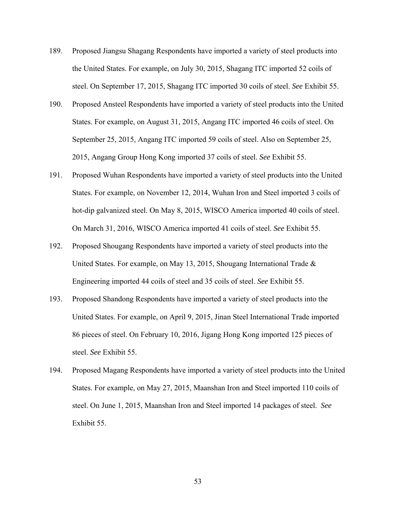- 189. Proposed Jiangsu Shagang Respondents have imported a variety of steel products into the United States. For example, on July 30, 2015, Shagang ITC imported 52 coils of steel. On September 17, 2015, Shagang ITC imported 30 coils of steel. *See* Exhibit 55.
- 190. Proposed Ansteel Respondents have imported a variety of steel products into the United States. For example, on August 31, 2015, Angang ITC imported 46 coils of steel. On September 25, 2015, Angang ITC imported 59 coils of steel. Also on September 25, 2015, Angang Group Hong Kong imported 37 coils of steel. *See* Exhibit 55.
- 191. Proposed Wuhan Respondents have imported a variety of steel products into the United States. For example, on November 12, 2014, Wuhan Iron and Steel imported 3 coils of hot-dip galvanized steel. On May 8, 2015, WISCO America imported 40 coils of steel. On March 31, 2016, WISCO America imported 41 coils of steel. *See* Exhibit 55.
- 192. Proposed Shougang Respondents have imported a variety of steel products into the United States. For example, on May 13, 2015, Shougang International Trade & Engineering imported 44 coils of steel and 35 coils of steel. *See* Exhibit 55.
- 193. Proposed Shandong Respondents have imported a variety of steel products into the United States. For example, on April 9, 2015, Jinan Steel International Trade imported 86 pieces of steel. On February 10, 2016, Jigang Hong Kong imported 125 pieces of steel. *See* Exhibit 55.
- 194. Proposed Magang Respondents have imported a variety of steel products into the United States. For example, on May 27, 2015, Maanshan Iron and Steel imported 110 coils of steel. On June 1, 2015, Maanshan Iron and Steel imported 14 packages of steel. *See*  Exhibit 55.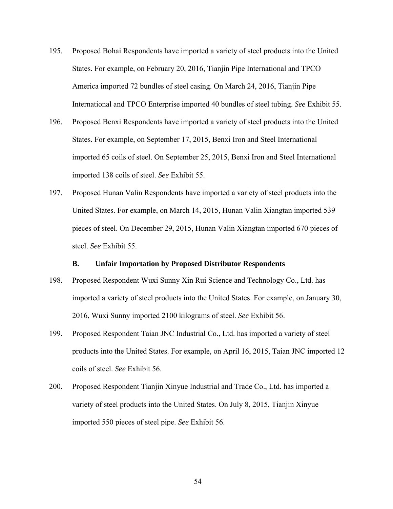- 195. Proposed Bohai Respondents have imported a variety of steel products into the United States. For example, on February 20, 2016, Tianjin Pipe International and TPCO America imported 72 bundles of steel casing. On March 24, 2016, Tianjin Pipe International and TPCO Enterprise imported 40 bundles of steel tubing. *See* Exhibit 55.
- 196. Proposed Benxi Respondents have imported a variety of steel products into the United States. For example, on September 17, 2015, Benxi Iron and Steel International imported 65 coils of steel. On September 25, 2015, Benxi Iron and Steel International imported 138 coils of steel. *See* Exhibit 55.
- 197. Proposed Hunan Valin Respondents have imported a variety of steel products into the United States. For example, on March 14, 2015, Hunan Valin Xiangtan imported 539 pieces of steel. On December 29, 2015, Hunan Valin Xiangtan imported 670 pieces of steel. *See* Exhibit 55.

## **B. Unfair Importation by Proposed Distributor Respondents**

- 198. Proposed Respondent Wuxi Sunny Xin Rui Science and Technology Co., Ltd. has imported a variety of steel products into the United States. For example, on January 30, 2016, Wuxi Sunny imported 2100 kilograms of steel. *See* Exhibit 56.
- 199. Proposed Respondent Taian JNC Industrial Co., Ltd. has imported a variety of steel products into the United States. For example, on April 16, 2015, Taian JNC imported 12 coils of steel. *See* Exhibit 56.
- 200. Proposed Respondent Tianjin Xinyue Industrial and Trade Co., Ltd. has imported a variety of steel products into the United States. On July 8, 2015, Tianjin Xinyue imported 550 pieces of steel pipe. *See* Exhibit 56.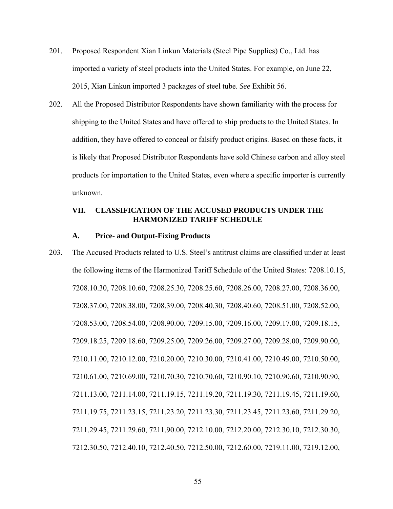- 201. Proposed Respondent Xian Linkun Materials (Steel Pipe Supplies) Co., Ltd. has imported a variety of steel products into the United States. For example, on June 22, 2015, Xian Linkun imported 3 packages of steel tube. *See* Exhibit 56.
- 202. All the Proposed Distributor Respondents have shown familiarity with the process for shipping to the United States and have offered to ship products to the United States. In addition, they have offered to conceal or falsify product origins. Based on these facts, it is likely that Proposed Distributor Respondents have sold Chinese carbon and alloy steel products for importation to the United States, even where a specific importer is currently unknown.

### **VII. CLASSIFICATION OF THE ACCUSED PRODUCTS UNDER THE HARMONIZED TARIFF SCHEDULE**

#### **A. Price- and Output-Fixing Products**

203. The Accused Products related to U.S. Steel's antitrust claims are classified under at least the following items of the Harmonized Tariff Schedule of the United States: 7208.10.15, 7208.10.30, 7208.10.60, 7208.25.30, 7208.25.60, 7208.26.00, 7208.27.00, 7208.36.00, 7208.37.00, 7208.38.00, 7208.39.00, 7208.40.30, 7208.40.60, 7208.51.00, 7208.52.00, 7208.53.00, 7208.54.00, 7208.90.00, 7209.15.00, 7209.16.00, 7209.17.00, 7209.18.15, 7209.18.25, 7209.18.60, 7209.25.00, 7209.26.00, 7209.27.00, 7209.28.00, 7209.90.00, 7210.11.00, 7210.12.00, 7210.20.00, 7210.30.00, 7210.41.00, 7210.49.00, 7210.50.00, 7210.61.00, 7210.69.00, 7210.70.30, 7210.70.60, 7210.90.10, 7210.90.60, 7210.90.90, 7211.13.00, 7211.14.00, 7211.19.15, 7211.19.20, 7211.19.30, 7211.19.45, 7211.19.60, 7211.19.75, 7211.23.15, 7211.23.20, 7211.23.30, 7211.23.45, 7211.23.60, 7211.29.20, 7211.29.45, 7211.29.60, 7211.90.00, 7212.10.00, 7212.20.00, 7212.30.10, 7212.30.30, 7212.30.50, 7212.40.10, 7212.40.50, 7212.50.00, 7212.60.00, 7219.11.00, 7219.12.00,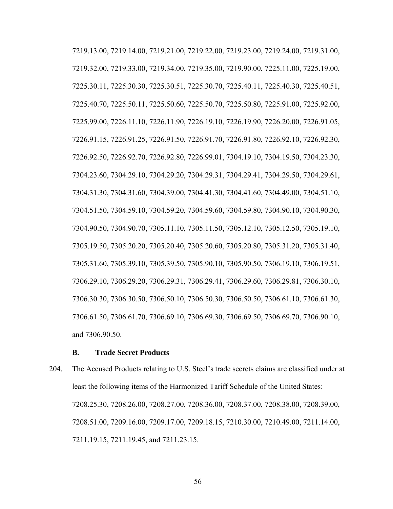7219.13.00, 7219.14.00, 7219.21.00, 7219.22.00, 7219.23.00, 7219.24.00, 7219.31.00, 7219.32.00, 7219.33.00, 7219.34.00, 7219.35.00, 7219.90.00, 7225.11.00, 7225.19.00, 7225.30.11, 7225.30.30, 7225.30.51, 7225.30.70, 7225.40.11, 7225.40.30, 7225.40.51, 7225.40.70, 7225.50.11, 7225.50.60, 7225.50.70, 7225.50.80, 7225.91.00, 7225.92.00, 7225.99.00, 7226.11.10, 7226.11.90, 7226.19.10, 7226.19.90, 7226.20.00, 7226.91.05, 7226.91.15, 7226.91.25, 7226.91.50, 7226.91.70, 7226.91.80, 7226.92.10, 7226.92.30, 7226.92.50, 7226.92.70, 7226.92.80, 7226.99.01, 7304.19.10, 7304.19.50, 7304.23.30, 7304.23.60, 7304.29.10, 7304.29.20, 7304.29.31, 7304.29.41, 7304.29.50, 7304.29.61, 7304.31.30, 7304.31.60, 7304.39.00, 7304.41.30, 7304.41.60, 7304.49.00, 7304.51.10, 7304.51.50, 7304.59.10, 7304.59.20, 7304.59.60, 7304.59.80, 7304.90.10, 7304.90.30, 7304.90.50, 7304.90.70, 7305.11.10, 7305.11.50, 7305.12.10, 7305.12.50, 7305.19.10, 7305.19.50, 7305.20.20, 7305.20.40, 7305.20.60, 7305.20.80, 7305.31.20, 7305.31.40, 7305.31.60, 7305.39.10, 7305.39.50, 7305.90.10, 7305.90.50, 7306.19.10, 7306.19.51, 7306.29.10, 7306.29.20, 7306.29.31, 7306.29.41, 7306.29.60, 7306.29.81, 7306.30.10, 7306.30.30, 7306.30.50, 7306.50.10, 7306.50.30, 7306.50.50, 7306.61.10, 7306.61.30, 7306.61.50, 7306.61.70, 7306.69.10, 7306.69.30, 7306.69.50, 7306.69.70, 7306.90.10, and 7306.90.50.

#### **B. Trade Secret Products**

204. The Accused Products relating to U.S. Steel's trade secrets claims are classified under at least the following items of the Harmonized Tariff Schedule of the United States: 7208.25.30, 7208.26.00, 7208.27.00, 7208.36.00, 7208.37.00, 7208.38.00, 7208.39.00, 7208.51.00, 7209.16.00, 7209.17.00, 7209.18.15, 7210.30.00, 7210.49.00, 7211.14.00, 7211.19.15, 7211.19.45, and 7211.23.15.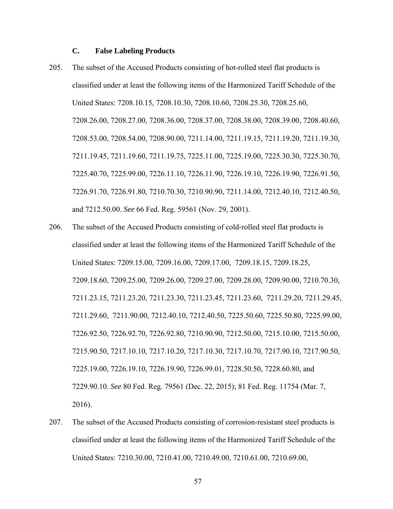## **C. False Labeling Products**

- 205. The subset of the Accused Products consisting of hot-rolled steel flat products is classified under at least the following items of the Harmonized Tariff Schedule of the United States: 7208.10.15, 7208.10.30, 7208.10.60, 7208.25.30, 7208.25.60, 7208.26.00, 7208.27.00, 7208.36.00, 7208.37.00, 7208.38.00, 7208.39.00, 7208.40.60, 7208.53.00, 7208.54.00, 7208.90.00, 7211.14.00, 7211.19.15, 7211.19.20, 7211.19.30, 7211.19.45, 7211.19.60, 7211.19.75, 7225.11.00, 7225.19.00, 7225.30.30, 7225.30.70, 7225.40.70, 7225.99.00, 7226.11.10, 7226.11.90, 7226.19.10, 7226.19.90, 7226.91.50, 7226.91.70, 7226.91.80, 7210.70.30, 7210.90.90, 7211.14.00, 7212.40.10, 7212.40.50, and 7212.50.00. *See* 66 Fed. Reg. 59561 (Nov. 29, 2001).
- 206. The subset of the Accused Products consisting of cold-rolled steel flat products is classified under at least the following items of the Harmonized Tariff Schedule of the United States: 7209.15.00, 7209.16.00, 7209.17.00, 7209.18.15, 7209.18.25, 7209.18.60, 7209.25.00, 7209.26.00, 7209.27.00, 7209.28.00, 7209.90.00, 7210.70.30, 7211.23.15, 7211.23.20, 7211.23.30, 7211.23.45, 7211.23.60, 7211.29.20, 7211.29.45, 7211.29.60, 7211.90.00, 7212.40.10, 7212.40.50, 7225.50.60, 7225.50.80, 7225.99.00, 7226.92.50, 7226.92.70, 7226.92.80, 7210.90.90, 7212.50.00, 7215.10.00, 7215.50.00, 7215.90.50, 7217.10.10, 7217.10.20, 7217.10.30, 7217.10.70, 7217.90.10, 7217.90.50, 7225.19.00, 7226.19.10, 7226.19.90, 7226.99.01, 7228.50.50, 7228.60.80, and 7229.90.10. *See* 80 Fed. Reg. 79561 (Dec. 22, 2015); 81 Fed. Reg. 11754 (Mar. 7, 2016).
- 207. The subset of the Accused Products consisting of corrosion-resistant steel products is classified under at least the following items of the Harmonized Tariff Schedule of the United States: 7210.30.00, 7210.41.00, 7210.49.00, 7210.61.00, 7210.69.00,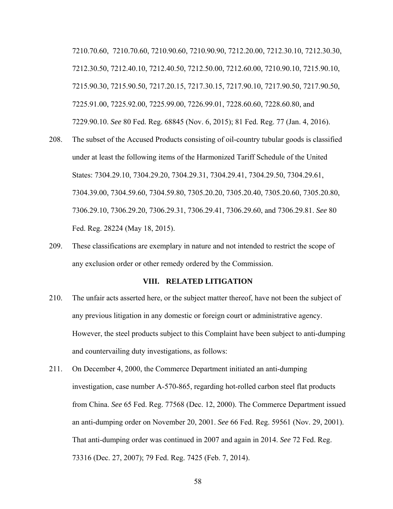7210.70.60, 7210.70.60, 7210.90.60, 7210.90.90, 7212.20.00, 7212.30.10, 7212.30.30, 7212.30.50, 7212.40.10, 7212.40.50, 7212.50.00, 7212.60.00, 7210.90.10, 7215.90.10, 7215.90.30, 7215.90.50, 7217.20.15, 7217.30.15, 7217.90.10, 7217.90.50, 7217.90.50, 7225.91.00, 7225.92.00, 7225.99.00, 7226.99.01, 7228.60.60, 7228.60.80, and 7229.90.10. *See* 80 Fed. Reg. 68845 (Nov. 6, 2015); 81 Fed. Reg. 77 (Jan. 4, 2016).

- 208. The subset of the Accused Products consisting of oil-country tubular goods is classified under at least the following items of the Harmonized Tariff Schedule of the United States: 7304.29.10, 7304.29.20, 7304.29.31, 7304.29.41, 7304.29.50, 7304.29.61, 7304.39.00, 7304.59.60, 7304.59.80, 7305.20.20, 7305.20.40, 7305.20.60, 7305.20.80, 7306.29.10, 7306.29.20, 7306.29.31, 7306.29.41, 7306.29.60, and 7306.29.81. *See* 80 Fed. Reg. 28224 (May 18, 2015).
- 209. These classifications are exemplary in nature and not intended to restrict the scope of any exclusion order or other remedy ordered by the Commission.

#### **VIII. RELATED LITIGATION**

- 210. The unfair acts asserted here, or the subject matter thereof, have not been the subject of any previous litigation in any domestic or foreign court or administrative agency. However, the steel products subject to this Complaint have been subject to anti-dumping and countervailing duty investigations, as follows:
- 211. On December 4, 2000, the Commerce Department initiated an anti-dumping investigation, case number A-570-865, regarding hot-rolled carbon steel flat products from China. *See* 65 Fed. Reg. 77568 (Dec. 12, 2000). The Commerce Department issued an anti-dumping order on November 20, 2001. *See* 66 Fed. Reg. 59561 (Nov. 29, 2001). That anti-dumping order was continued in 2007 and again in 2014. *See* 72 Fed. Reg. 73316 (Dec. 27, 2007); 79 Fed. Reg. 7425 (Feb. 7, 2014).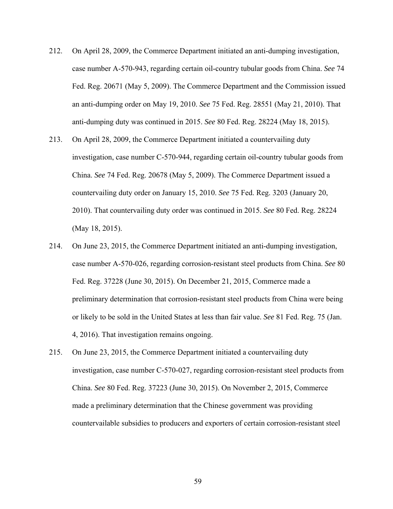- 212. On April 28, 2009, the Commerce Department initiated an anti-dumping investigation, case number A-570-943, regarding certain oil-country tubular goods from China. *See* 74 Fed. Reg. 20671 (May 5, 2009). The Commerce Department and the Commission issued an anti-dumping order on May 19, 2010. *See* 75 Fed. Reg. 28551 (May 21, 2010). That anti-dumping duty was continued in 2015. *See* 80 Fed. Reg. 28224 (May 18, 2015).
- 213. On April 28, 2009, the Commerce Department initiated a countervailing duty investigation, case number C-570-944, regarding certain oil-country tubular goods from China. *See* 74 Fed. Reg. 20678 (May 5, 2009). The Commerce Department issued a countervailing duty order on January 15, 2010. *See* 75 Fed. Reg. 3203 (January 20, 2010). That countervailing duty order was continued in 2015. *See* 80 Fed. Reg. 28224 (May 18, 2015).
- 214. On June 23, 2015, the Commerce Department initiated an anti-dumping investigation, case number A-570-026, regarding corrosion-resistant steel products from China. *See* 80 Fed. Reg. 37228 (June 30, 2015). On December 21, 2015, Commerce made a preliminary determination that corrosion-resistant steel products from China were being or likely to be sold in the United States at less than fair value. *See* 81 Fed. Reg. 75 (Jan. 4, 2016). That investigation remains ongoing.
- 215. On June 23, 2015, the Commerce Department initiated a countervailing duty investigation, case number C-570-027, regarding corrosion-resistant steel products from China. *See* 80 Fed. Reg. 37223 (June 30, 2015). On November 2, 2015, Commerce made a preliminary determination that the Chinese government was providing countervailable subsidies to producers and exporters of certain corrosion-resistant steel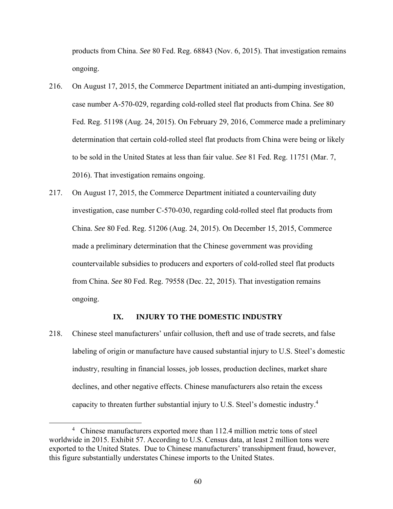products from China. *See* 80 Fed. Reg. 68843 (Nov. 6, 2015). That investigation remains ongoing.

- 216. On August 17, 2015, the Commerce Department initiated an anti-dumping investigation, case number A-570-029, regarding cold-rolled steel flat products from China. *See* 80 Fed. Reg. 51198 (Aug. 24, 2015). On February 29, 2016, Commerce made a preliminary determination that certain cold-rolled steel flat products from China were being or likely to be sold in the United States at less than fair value. *See* 81 Fed. Reg. 11751 (Mar. 7, 2016). That investigation remains ongoing.
- 217. On August 17, 2015, the Commerce Department initiated a countervailing duty investigation, case number C-570-030, regarding cold-rolled steel flat products from China. *See* 80 Fed. Reg. 51206 (Aug. 24, 2015). On December 15, 2015, Commerce made a preliminary determination that the Chinese government was providing countervailable subsidies to producers and exporters of cold-rolled steel flat products from China. *See* 80 Fed. Reg. 79558 (Dec. 22, 2015). That investigation remains ongoing.

## **IX. INJURY TO THE DOMESTIC INDUSTRY**

218. Chinese steel manufacturers' unfair collusion, theft and use of trade secrets, and false labeling of origin or manufacture have caused substantial injury to U.S. Steel's domestic industry, resulting in financial losses, job losses, production declines, market share declines, and other negative effects. Chinese manufacturers also retain the excess capacity to threaten further substantial injury to U.S. Steel's domestic industry.4

 $\frac{1}{4}$ <sup>4</sup> Chinese manufacturers exported more than 112.4 million metric tons of steel worldwide in 2015. Exhibit 57. According to U.S. Census data, at least 2 million tons were exported to the United States. Due to Chinese manufacturers' transshipment fraud, however, this figure substantially understates Chinese imports to the United States.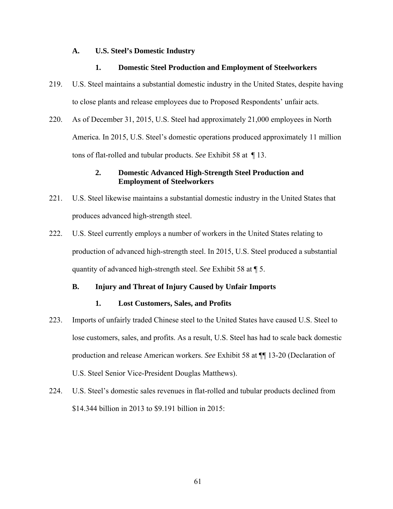#### **A. U.S. Steel's Domestic Industry**

### **1. Domestic Steel Production and Employment of Steelworkers**

- 219. U.S. Steel maintains a substantial domestic industry in the United States, despite having to close plants and release employees due to Proposed Respondents' unfair acts.
- 220. As of December 31, 2015, U.S. Steel had approximately 21,000 employees in North America. In 2015, U.S. Steel's domestic operations produced approximately 11 million tons of flat-rolled and tubular products. *See* Exhibit 58 at ¶ 13.

## **2. Domestic Advanced High-Strength Steel Production and Employment of Steelworkers**

- 221. U.S. Steel likewise maintains a substantial domestic industry in the United States that produces advanced high-strength steel.
- 222. U.S. Steel currently employs a number of workers in the United States relating to production of advanced high-strength steel. In 2015, U.S. Steel produced a substantial quantity of advanced high-strength steel. *See* Exhibit 58 at ¶ 5.

## **B. Injury and Threat of Injury Caused by Unfair Imports**

## **1. Lost Customers, Sales, and Profits**

- 223. Imports of unfairly traded Chinese steel to the United States have caused U.S. Steel to lose customers, sales, and profits. As a result, U.S. Steel has had to scale back domestic production and release American workers. *See* Exhibit 58 at ¶¶ 13-20 (Declaration of U.S. Steel Senior Vice-President Douglas Matthews).
- 224. U.S. Steel's domestic sales revenues in flat-rolled and tubular products declined from \$14.344 billion in 2013 to \$9.191 billion in 2015: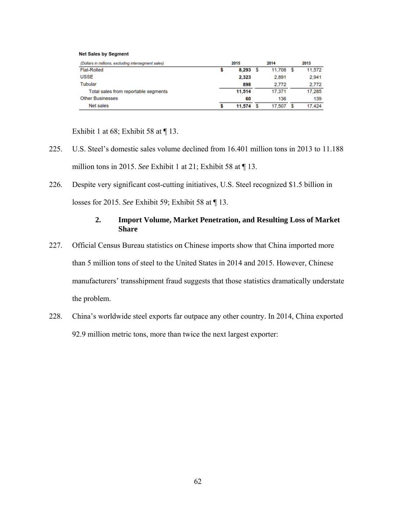#### **Net Sales by Segment**

| (Dollars in millions, excluding intersegment sales) | 2015   | 2014   | 2013   |
|-----------------------------------------------------|--------|--------|--------|
| <b>Flat-Rolled</b>                                  | 8,293  | 11.708 | 11,572 |
| <b>USSE</b>                                         | 2,323  | 2,891  | 2.941  |
| <b>Tubular</b>                                      | 898    | 2.772  | 2.772  |
| Total sales from reportable segments                | 11,514 | 17.371 | 17.285 |
| <b>Other Businesses</b>                             | 60     | 136    | 139    |
| Net sales                                           | 11.574 | 17.507 | 17.424 |

Exhibit 1 at 68; Exhibit 58 at  $\P$  13.

- 225. U.S. Steel's domestic sales volume declined from 16.401 million tons in 2013 to 11.188 million tons in 2015. *See* Exhibit 1 at 21; Exhibit 58 at ¶ 13.
- 226. Despite very significant cost-cutting initiatives, U.S. Steel recognized \$1.5 billion in losses for 2015. *See* Exhibit 59; Exhibit 58 at ¶ 13.

### **2. Import Volume, Market Penetration, and Resulting Loss of Market Share**

- 227. Official Census Bureau statistics on Chinese imports show that China imported more than 5 million tons of steel to the United States in 2014 and 2015. However, Chinese manufacturers' transshipment fraud suggests that those statistics dramatically understate the problem.
- 228. China's worldwide steel exports far outpace any other country. In 2014, China exported 92.9 million metric tons, more than twice the next largest exporter: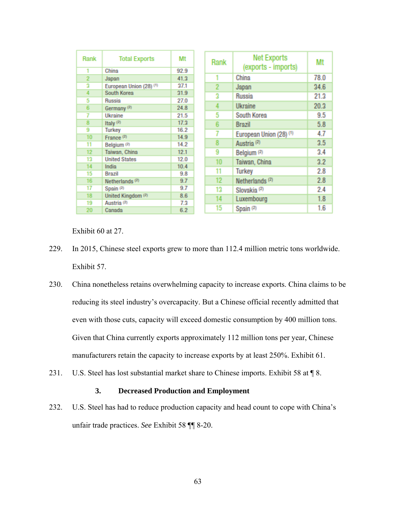| Rank           | <b>Total Exports</b>               | Mt   | Rank           | <b>Net Exports</b><br>(exports - imports) | Mt   |
|----------------|------------------------------------|------|----------------|-------------------------------------------|------|
|                | China                              | 92.9 |                | China                                     | 78.0 |
| $\overline{2}$ | Japan                              | 41.3 |                |                                           |      |
| 2              | European Union (28) <sup>(1)</sup> | 37.1 | $\overline{2}$ | Japan                                     | 34.6 |
| 4              | South Korea                        | 31.9 | 3              | <b>Russia</b>                             | 21.3 |
| 5              | Russia                             | 27.0 |                |                                           |      |
| 6              | Germany <sup>(2)</sup>             | 24.8 | 4              | Ukraine                                   | 20.3 |
|                | Ukraine                            | 21.5 | 5              | South Korea                               | 9.5  |
| 8              | Italy $(2)$                        | 17.3 | 6              | Brazil                                    | 5.8  |
| 9              | <b>Turkey</b>                      | 16.2 |                |                                           | 4.7  |
| 10             | France $(2)$                       | 14.9 |                | European Union (28) <sup>(1)</sup>        |      |
| 11             | Belgium <sup>(2)</sup>             | 14.2 | 8              | Austria <sup>(2)</sup>                    | 3.5  |
| 12             | Taiwan, China                      | 12.1 | 9              | Belgium <sup>(2)</sup>                    | 3.4  |
| 13             | <b>United States</b>               | 12.0 | 10             | Taiwan, China                             | 3.2  |
| 14             | India                              | 10.4 |                |                                           |      |
| 15             | <b>Brazil</b>                      | 9.8  | 11             | Turkey                                    | 2.8  |
| 16             | Netherlands <sup>(2)</sup>         | 9.7  | 12             | Netherlands $(2)$                         | 2.8  |
| 17             | Spain <sup>(2)</sup>               | 9.7  | 13             | Slovakia <sup>(2)</sup>                   | 2.4  |
| 18             | United Kingdom (2)                 | 8.6  | 14             | Luxembourg                                | 1.8  |
| 19             | Austria <sup>(2)</sup>             | 7.3  |                |                                           |      |
| 20             | Canada                             | 6.2  | 15             | Spain (2)                                 | 1.6  |

Exhibit 60 at 27.

- 229. In 2015, Chinese steel exports grew to more than 112.4 million metric tons worldwide. Exhibit 57.
- 230. China nonetheless retains overwhelming capacity to increase exports. China claims to be reducing its steel industry's overcapacity. But a Chinese official recently admitted that even with those cuts, capacity will exceed domestic consumption by 400 million tons. Given that China currently exports approximately 112 million tons per year, Chinese manufacturers retain the capacity to increase exports by at least 250%. Exhibit 61.
- 231. U.S. Steel has lost substantial market share to Chinese imports. Exhibit 58 at 18.

# **3. Decreased Production and Employment**

232. U.S. Steel has had to reduce production capacity and head count to cope with China's unfair trade practices. *See* Exhibit 58 ¶¶ 8-20.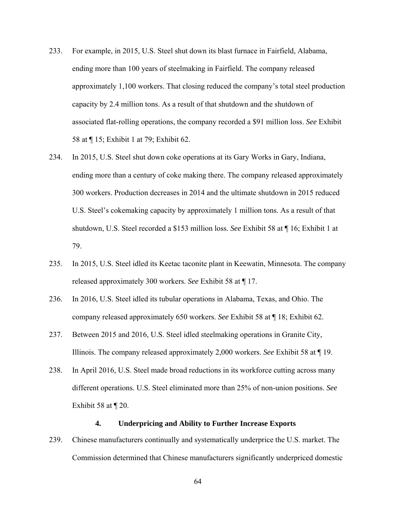- 233. For example, in 2015, U.S. Steel shut down its blast furnace in Fairfield, Alabama, ending more than 100 years of steelmaking in Fairfield. The company released approximately 1,100 workers. That closing reduced the company's total steel production capacity by 2.4 million tons. As a result of that shutdown and the shutdown of associated flat-rolling operations, the company recorded a \$91 million loss. *See* Exhibit 58 at ¶ 15; Exhibit 1 at 79; Exhibit 62.
- 234. In 2015, U.S. Steel shut down coke operations at its Gary Works in Gary, Indiana, ending more than a century of coke making there. The company released approximately 300 workers. Production decreases in 2014 and the ultimate shutdown in 2015 reduced U.S. Steel's cokemaking capacity by approximately 1 million tons. As a result of that shutdown, U.S. Steel recorded a \$153 million loss. *See* Exhibit 58 at ¶ 16; Exhibit 1 at 79.
- 235. In 2015, U.S. Steel idled its Keetac taconite plant in Keewatin, Minnesota. The company released approximately 300 workers. *See* Exhibit 58 at ¶ 17.
- 236. In 2016, U.S. Steel idled its tubular operations in Alabama, Texas, and Ohio. The company released approximately 650 workers. *See* Exhibit 58 at ¶ 18; Exhibit 62.
- 237. Between 2015 and 2016, U.S. Steel idled steelmaking operations in Granite City, Illinois. The company released approximately 2,000 workers. *See* Exhibit 58 at ¶ 19.
- 238. In April 2016, U.S. Steel made broad reductions in its workforce cutting across many different operations. U.S. Steel eliminated more than 25% of non-union positions. *See*  Exhibit 58 at  $\P$  20.

#### **4. Underpricing and Ability to Further Increase Exports**

239. Chinese manufacturers continually and systematically underprice the U.S. market. The Commission determined that Chinese manufacturers significantly underpriced domestic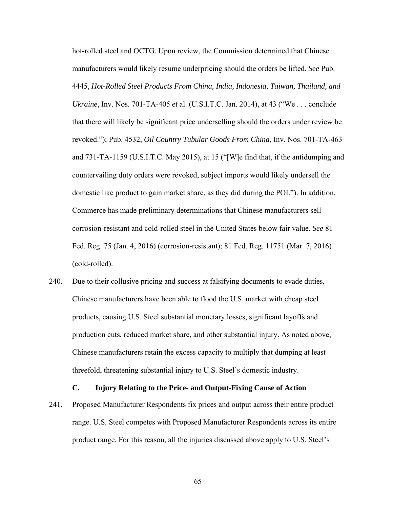hot-rolled steel and OCTG. Upon review, the Commission determined that Chinese manufacturers would likely resume underpricing should the orders be lifted*. See* Pub. 4445, *Hot-Rolled Steel Products From China, India, Indonesia, Taiwan, Thailand, and Ukraine*, Inv. Nos. 701-TA-405 et al. (U.S.I.T.C. Jan. 2014), at 43 ("We . . . conclude that there will likely be significant price underselling should the orders under review be revoked."); Pub. 4532, *Oil Country Tubular Goods From China*, Inv. Nos. 701-TA-463 and 731-TA-1159 (U.S.I.T.C. May 2015), at 15 ("[W]e find that, if the antidumping and countervailing duty orders were revoked, subject imports would likely undersell the domestic like product to gain market share, as they did during the POI."). In addition, Commerce has made preliminary determinations that Chinese manufacturers sell corrosion-resistant and cold-rolled steel in the United States below fair value. *See* 81 Fed. Reg. 75 (Jan. 4, 2016) (corrosion-resistant); 81 Fed. Reg. 11751 (Mar. 7, 2016) (cold-rolled).

240. Due to their collusive pricing and success at falsifying documents to evade duties, Chinese manufacturers have been able to flood the U.S. market with cheap steel products, causing U.S. Steel substantial monetary losses, significant layoffs and production cuts, reduced market share, and other substantial injury. As noted above, Chinese manufacturers retain the excess capacity to multiply that dumping at least threefold, threatening substantial injury to U.S. Steel's domestic industry.

#### **C. Injury Relating to the Price- and Output-Fixing Cause of Action**

241. Proposed Manufacturer Respondents fix prices and output across their entire product range. U.S. Steel competes with Proposed Manufacturer Respondents across its entire product range. For this reason, all the injuries discussed above apply to U.S. Steel's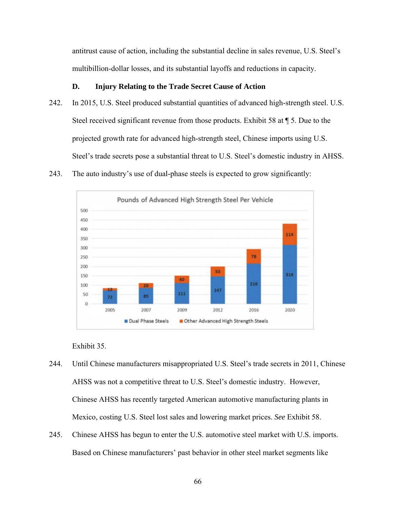antitrust cause of action, including the substantial decline in sales revenue, U.S. Steel's multibillion-dollar losses, and its substantial layoffs and reductions in capacity.

# **D. Injury Relating to the Trade Secret Cause of Action**

- 242. In 2015, U.S. Steel produced substantial quantities of advanced high-strength steel. U.S. Steel received significant revenue from those products. Exhibit 58 at ¶ 5. Due to the projected growth rate for advanced high-strength steel, Chinese imports using U.S. Steel's trade secrets pose a substantial threat to U.S. Steel's domestic industry in AHSS.
- 243. The auto industry's use of dual-phase steels is expected to grow significantly:



Exhibit 35.

- 244. Until Chinese manufacturers misappropriated U.S. Steel's trade secrets in 2011, Chinese AHSS was not a competitive threat to U.S. Steel's domestic industry. However, Chinese AHSS has recently targeted American automotive manufacturing plants in Mexico, costing U.S. Steel lost sales and lowering market prices. *See* Exhibit 58.
- 245. Chinese AHSS has begun to enter the U.S. automotive steel market with U.S. imports. Based on Chinese manufacturers' past behavior in other steel market segments like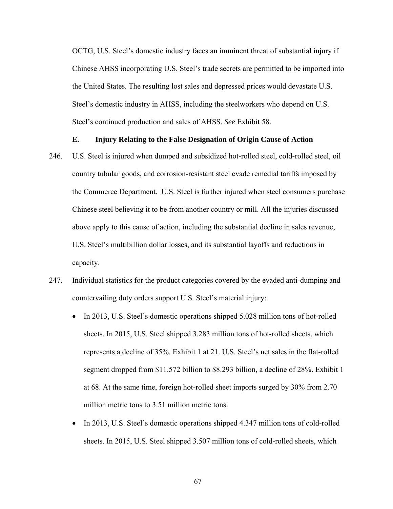OCTG, U.S. Steel's domestic industry faces an imminent threat of substantial injury if Chinese AHSS incorporating U.S. Steel's trade secrets are permitted to be imported into the United States. The resulting lost sales and depressed prices would devastate U.S. Steel's domestic industry in AHSS, including the steelworkers who depend on U.S. Steel's continued production and sales of AHSS. *See* Exhibit 58.

#### **E. Injury Relating to the False Designation of Origin Cause of Action**

- 246. U.S. Steel is injured when dumped and subsidized hot-rolled steel, cold-rolled steel, oil country tubular goods, and corrosion-resistant steel evade remedial tariffs imposed by the Commerce Department. U.S. Steel is further injured when steel consumers purchase Chinese steel believing it to be from another country or mill. All the injuries discussed above apply to this cause of action, including the substantial decline in sales revenue, U.S. Steel's multibillion dollar losses, and its substantial layoffs and reductions in capacity.
- 247. Individual statistics for the product categories covered by the evaded anti-dumping and countervailing duty orders support U.S. Steel's material injury:
	- In 2013, U.S. Steel's domestic operations shipped 5.028 million tons of hot-rolled sheets. In 2015, U.S. Steel shipped 3.283 million tons of hot-rolled sheets, which represents a decline of 35%. Exhibit 1 at 21. U.S. Steel's net sales in the flat-rolled segment dropped from \$11.572 billion to \$8.293 billion, a decline of 28%. Exhibit 1 at 68. At the same time, foreign hot-rolled sheet imports surged by 30% from 2.70 million metric tons to 3.51 million metric tons.
	- In 2013, U.S. Steel's domestic operations shipped 4.347 million tons of cold-rolled sheets. In 2015, U.S. Steel shipped 3.507 million tons of cold-rolled sheets, which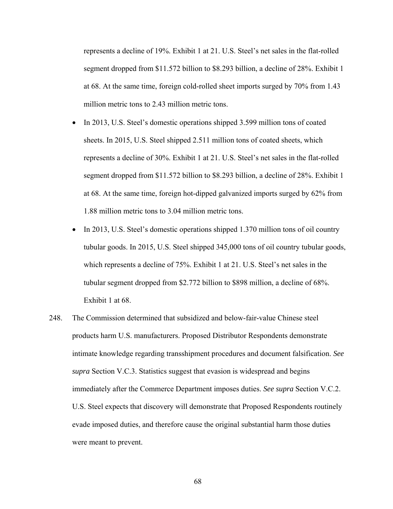represents a decline of 19%. Exhibit 1 at 21. U.S. Steel's net sales in the flat-rolled segment dropped from \$11.572 billion to \$8.293 billion, a decline of 28%. Exhibit 1 at 68. At the same time, foreign cold-rolled sheet imports surged by 70% from 1.43 million metric tons to 2.43 million metric tons.

- In 2013, U.S. Steel's domestic operations shipped 3.599 million tons of coated sheets. In 2015, U.S. Steel shipped 2.511 million tons of coated sheets, which represents a decline of 30%. Exhibit 1 at 21. U.S. Steel's net sales in the flat-rolled segment dropped from \$11.572 billion to \$8.293 billion, a decline of 28%. Exhibit 1 at 68. At the same time, foreign hot-dipped galvanized imports surged by 62% from 1.88 million metric tons to 3.04 million metric tons.
- In 2013, U.S. Steel's domestic operations shipped 1.370 million tons of oil country tubular goods. In 2015, U.S. Steel shipped 345,000 tons of oil country tubular goods, which represents a decline of 75%. Exhibit 1 at 21. U.S. Steel's net sales in the tubular segment dropped from \$2.772 billion to \$898 million, a decline of 68%. Exhibit 1 at 68.
- 248. The Commission determined that subsidized and below-fair-value Chinese steel products harm U.S. manufacturers. Proposed Distributor Respondents demonstrate intimate knowledge regarding transshipment procedures and document falsification. *See supra* Section V.C.3. Statistics suggest that evasion is widespread and begins immediately after the Commerce Department imposes duties. *See supra* Section V.C.2. U.S. Steel expects that discovery will demonstrate that Proposed Respondents routinely evade imposed duties, and therefore cause the original substantial harm those duties were meant to prevent.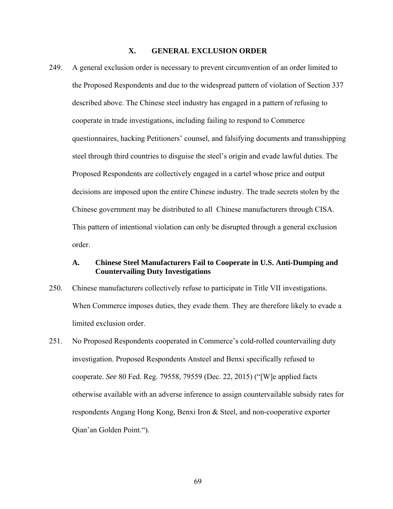# **X. GENERAL EXCLUSION ORDER**

249. A general exclusion order is necessary to prevent circumvention of an order limited to the Proposed Respondents and due to the widespread pattern of violation of Section 337 described above. The Chinese steel industry has engaged in a pattern of refusing to cooperate in trade investigations, including failing to respond to Commerce questionnaires, hacking Petitioners' counsel, and falsifying documents and transshipping steel through third countries to disguise the steel's origin and evade lawful duties. The Proposed Respondents are collectively engaged in a cartel whose price and output decisions are imposed upon the entire Chinese industry. The trade secrets stolen by the Chinese government may be distributed to all Chinese manufacturers through CISA. This pattern of intentional violation can only be disrupted through a general exclusion order.

### **A. Chinese Steel Manufacturers Fail to Cooperate in U.S. Anti-Dumping and Countervailing Duty Investigations**

- 250. Chinese manufacturers collectively refuse to participate in Title VII investigations. When Commerce imposes duties, they evade them. They are therefore likely to evade a limited exclusion order.
- 251. No Proposed Respondents cooperated in Commerce's cold-rolled countervailing duty investigation. Proposed Respondents Ansteel and Benxi specifically refused to cooperate. *See* 80 Fed. Reg. 79558, 79559 (Dec. 22, 2015) ("[W]e applied facts otherwise available with an adverse inference to assign countervailable subsidy rates for respondents Angang Hong Kong, Benxi Iron & Steel, and non-cooperative exporter Qian'an Golden Point.").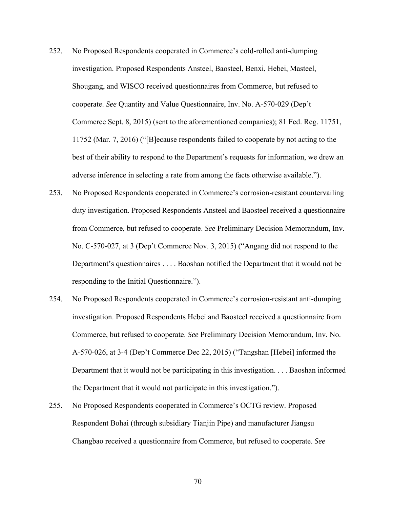- 252. No Proposed Respondents cooperated in Commerce's cold-rolled anti-dumping investigation. Proposed Respondents Ansteel, Baosteel, Benxi, Hebei, Masteel, Shougang, and WISCO received questionnaires from Commerce, but refused to cooperate. *See* Quantity and Value Questionnaire, Inv. No. A-570-029 (Dep't Commerce Sept. 8, 2015) (sent to the aforementioned companies); 81 Fed. Reg. 11751, 11752 (Mar. 7, 2016) ("[B]ecause respondents failed to cooperate by not acting to the best of their ability to respond to the Department's requests for information, we drew an adverse inference in selecting a rate from among the facts otherwise available.").
- 253. No Proposed Respondents cooperated in Commerce's corrosion-resistant countervailing duty investigation. Proposed Respondents Ansteel and Baosteel received a questionnaire from Commerce, but refused to cooperate. *See* Preliminary Decision Memorandum, Inv. No. C-570-027, at 3 (Dep't Commerce Nov. 3, 2015) ("Angang did not respond to the Department's questionnaires . . . . Baoshan notified the Department that it would not be responding to the Initial Questionnaire.").
- 254. No Proposed Respondents cooperated in Commerce's corrosion-resistant anti-dumping investigation. Proposed Respondents Hebei and Baosteel received a questionnaire from Commerce, but refused to cooperate. *See* Preliminary Decision Memorandum, Inv. No. A-570-026, at 3-4 (Dep't Commerce Dec 22, 2015) ("Tangshan [Hebei] informed the Department that it would not be participating in this investigation. . . . Baoshan informed the Department that it would not participate in this investigation.").
- 255. No Proposed Respondents cooperated in Commerce's OCTG review. Proposed Respondent Bohai (through subsidiary Tianjin Pipe) and manufacturer Jiangsu Changbao received a questionnaire from Commerce, but refused to cooperate. *See*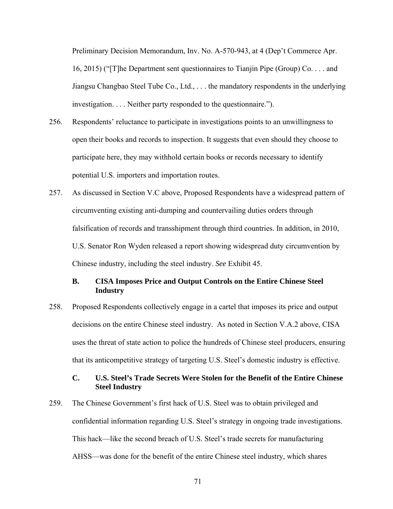Preliminary Decision Memorandum, Inv. No. A-570-943, at 4 (Dep't Commerce Apr. 16, 2015) ("[T]he Department sent questionnaires to Tianjin Pipe (Group) Co. . . . and Jiangsu Changbao Steel Tube Co., Ltd., . . . the mandatory respondents in the underlying investigation. . . . Neither party responded to the questionnaire.").

- 256. Respondents' reluctance to participate in investigations points to an unwillingness to open their books and records to inspection. It suggests that even should they choose to participate here, they may withhold certain books or records necessary to identify potential U.S. importers and importation routes.
- 257. As discussed in Section V.C above, Proposed Respondents have a widespread pattern of circumventing existing anti-dumping and countervailing duties orders through falsification of records and transshipment through third countries. In addition, in 2010, U.S. Senator Ron Wyden released a report showing widespread duty circumvention by Chinese industry, including the steel industry. *See* Exhibit 45.

# **B. CISA Imposes Price and Output Controls on the Entire Chinese Steel Industry**

258. Proposed Respondents collectively engage in a cartel that imposes its price and output decisions on the entire Chinese steel industry. As noted in Section V.A.2 above, CISA uses the threat of state action to police the hundreds of Chinese steel producers, ensuring that its anticompetitive strategy of targeting U.S. Steel's domestic industry is effective.

# **C. U.S. Steel's Trade Secrets Were Stolen for the Benefit of the Entire Chinese Steel Industry**

259. The Chinese Government's first hack of U.S. Steel was to obtain privileged and confidential information regarding U.S. Steel's strategy in ongoing trade investigations. This hack—like the second breach of U.S. Steel's trade secrets for manufacturing AHSS—was done for the benefit of the entire Chinese steel industry, which shares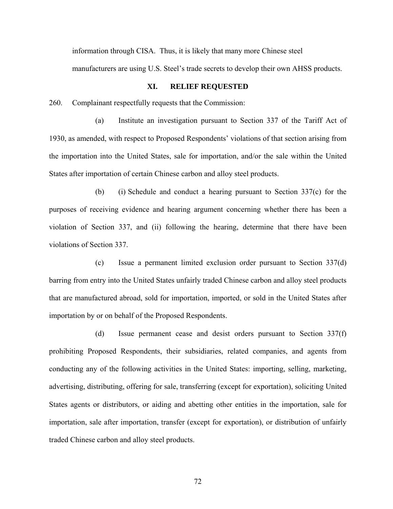information through CISA. Thus, it is likely that many more Chinese steel

manufacturers are using U.S. Steel's trade secrets to develop their own AHSS products.

#### **XI. RELIEF REQUESTED**

260. Complainant respectfully requests that the Commission:

(a) Institute an investigation pursuant to Section 337 of the Tariff Act of 1930, as amended, with respect to Proposed Respondents' violations of that section arising from the importation into the United States, sale for importation, and/or the sale within the United States after importation of certain Chinese carbon and alloy steel products.

(b) (i) Schedule and conduct a hearing pursuant to Section 337(c) for the purposes of receiving evidence and hearing argument concerning whether there has been a violation of Section 337, and (ii) following the hearing, determine that there have been violations of Section 337.

(c) Issue a permanent limited exclusion order pursuant to Section 337(d) barring from entry into the United States unfairly traded Chinese carbon and alloy steel products that are manufactured abroad, sold for importation, imported, or sold in the United States after importation by or on behalf of the Proposed Respondents.

(d) Issue permanent cease and desist orders pursuant to Section 337(f) prohibiting Proposed Respondents, their subsidiaries, related companies, and agents from conducting any of the following activities in the United States: importing, selling, marketing, advertising, distributing, offering for sale, transferring (except for exportation), soliciting United States agents or distributors, or aiding and abetting other entities in the importation, sale for importation, sale after importation, transfer (except for exportation), or distribution of unfairly traded Chinese carbon and alloy steel products.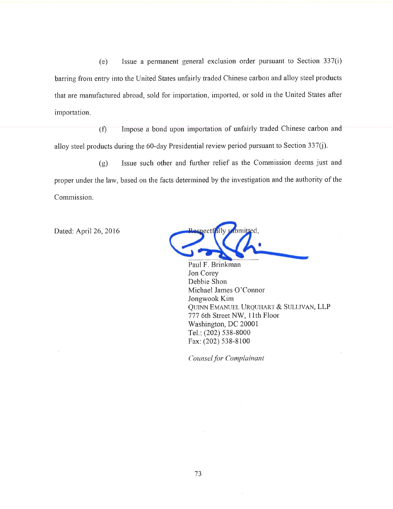$(e)$  Issue a permanent general exclusion order pursuant to Section 337 $(i)$ barring from entry into the United States unfairly traded Chinese carbon and alloy steel products that are manufactured abroad, sold for importation, imported, or sold in the United States after importation.

Impose a bond upon importation of unfairly traded Chinese carbon and alloy steel products during the 60-day Presidential review period pursuant to Section 337(j). (f)

Issue such other and further relief as the Commission deems just and (g) proper under the law, based on the facts determined by the investigation and the authority of the Commission.

Dated; April 26, 2016

bmitted. ectfally

Paul F. Brinkman Jon Corey Debbie Shon Michael James O'Connor Jongwook Kim Quinn Emanuel Urquhart & Sullivan, LLP 777 6th Street NW, 11th Floor Washington, DC 20001 Tel.; (202) 538-8000 Fax; (202) 538-8100

*Counselfor Complainant*